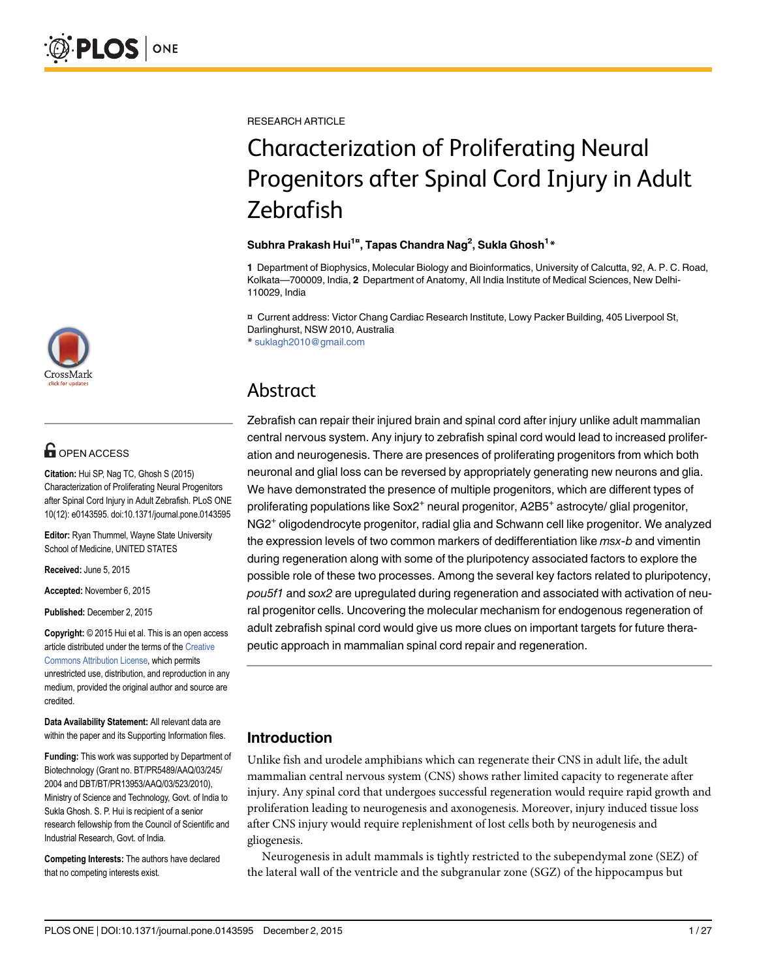

## **OPEN ACCESS**

Citation: Hui SP, Nag TC, Ghosh S (2015) Characterization of Proliferating Neural Progenitors after Spinal Cord Injury in Adult Zebrafish. PLoS ONE 10(12): e0143595. doi:10.1371/journal.pone.0143595

Editor: Ryan Thummel, Wayne State University School of Medicine, UNITED STATES

Received: June 5, 2015

Accepted: November 6, 2015

Published: December 2, 2015

Copyright: © 2015 Hui et al. This is an open access article distributed under the terms of the Creative Commons Attribution License, which permits unrestricted use, distribution, and reproduction in any medium, provided the original author and source are credited.

Data Availability Statement: All relevant data are within the paper and its Supporting Information files.

Funding: This work was supported by Department of Biotechnology (Grant no. BT/PR5489/AAQ/03/245/ 2004 and DBT/BT/PR13953/AAQ/03/523/2010), Ministry of Science and Technology, Govt. of India to Sukla Ghosh. S. P. Hui is recipient of a senior research fellowship from the Council of Scientific and Industrial Research, Govt. of India.

Competing Interests: The authors have declared that no competing interests exist.

RESEARCH ARTICLE

# Characterization of Proliferating Neural Progenitors after Spinal Cord Injury in Adult Zebrafish

#### Subhra Prakash Hui<sup>1¤</sup>, Tapas Chandra Nag<sup>2</sup>, Sukla Ghosh<sup>1</sup>\*

1 Department of Biophysics, Molecular Biology and Bioinformatics, University of Calcutta, 92, A. P. C. Road, Kolkata—700009, India, 2 Department of Anatomy, All India Institute of Medical Sciences, New Delhi-110029, India

¤ Current address: Victor Chang Cardiac Research Institute, Lowy Packer Building, 405 Liverpool St, Darlinghurst, NSW 2010, Australia

\* suklagh2010@gmail.com

## Abstract

Zebrafish can repair their injured brain and spinal cord after injury unlike adult mammalian central nervous system. Any injury to zebrafish spinal cord would lead to increased proliferation and neurogenesis. There are presences of proliferating progenitors from which both neuronal and glial loss can be reversed by appropriately generating new neurons and glia. We have demonstrated the presence of multiple progenitors, which are different types of proliferating populations like Sox2<sup>+</sup> neural progenitor, A2B5<sup>+</sup> astrocyte/ glial progenitor, NG2<sup>+</sup> oligodendrocyte progenitor, radial glia and Schwann cell like progenitor. We analyzed the expression levels of two common markers of dedifferentiation like *msx-b* and vimentin during regeneration along with some of the pluripotency associated factors to explore the possible role of these two processes. Among the several key factors related to pluripotency, pou5f1 and sox2 are upregulated during regeneration and associated with activation of neural progenitor cells. Uncovering the molecular mechanism for endogenous regeneration of adult zebrafish spinal cord would give us more clues on important targets for future therapeutic approach in mammalian spinal cord repair and regeneration.

## Introduction

Unlike fish and urodele amphibians which can regenerate their CNS in adult life, the adult mammalian central nervous system (CNS) shows rather limited capacity to regenerate after injury. Any spinal cord that undergoes successful regeneration would require rapid growth and proliferation leading to neurogenesis and axonogenesis. Moreover, injury induced tissue loss after CNS injury would require replenishment of lost cells both by neurogenesis and gliogenesis.

Neurogenesis in adult mammals is tightly restricted to the subependymal zone (SEZ) of the lateral wall of the ventricle and the subgranular zone (SGZ) of the hippocampus but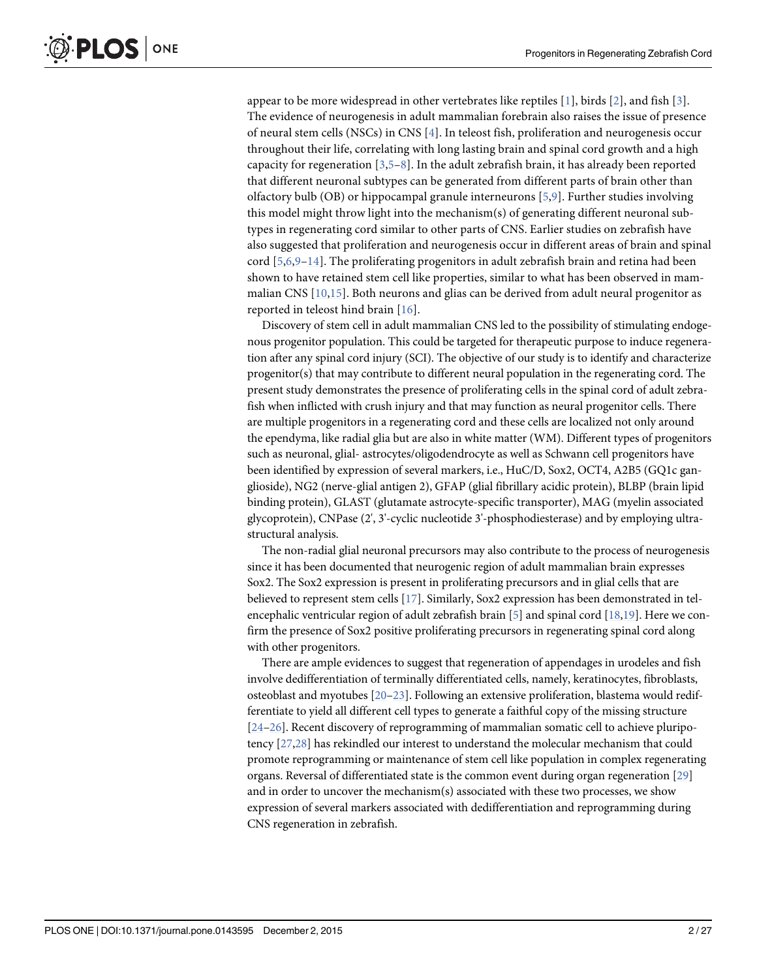appear to be more widespread in other vertebrates like reptiles [1], birds [2], and fish [3]. The evidence of neurogenesis in adult mammalian forebrain also raises the issue of presence of neural stem cells (NSCs) in CNS [4]. In teleost fish, proliferation and neurogenesis occur throughout their life, correlating with long lasting brain and spinal cord growth and a high capacity for regeneration  $[3,5-8]$ . In the adult zebrafish brain, it has already been reported that different neuronal subtypes can be generated from different parts of brain other than olfactory bulb (OB) or hippocampal granule interneurons [5,9]. Further studies involving this model might throw light into the mechanism(s) of generating different neuronal subtypes in regenerating cord similar to other parts of CNS. Earlier studies on zebrafish have also suggested that proliferation and neurogenesis occur in different areas of brain and spinal cord  $[5,6,9-14]$ . The proliferating progenitors in adult zebrafish brain and retina had been shown to have retained stem cell like properties, similar to what has been observed in mammalian CNS [10,15]. Both neurons and glias can be derived from adult neural progenitor as reported in teleost hind brain [16].

Discovery of stem cell in adult mammalian CNS led to the possibility of stimulating endogenous progenitor population. This could be targeted for therapeutic purpose to induce regeneration after any spinal cord injury (SCI). The objective of our study is to identify and characterize progenitor(s) that may contribute to different neural population in the regenerating cord. The present study demonstrates the presence of proliferating cells in the spinal cord of adult zebrafish when inflicted with crush injury and that may function as neural progenitor cells. There are multiple progenitors in a regenerating cord and these cells are localized not only around the ependyma, like radial glia but are also in white matter (WM). Different types of progenitors such as neuronal, glial- astrocytes/oligodendrocyte as well as Schwann cell progenitors have been identified by expression of several markers, i.e., HuC/D, Sox2, OCT4, A2B5 (GQ1c ganglioside), NG2 (nerve-glial antigen 2), GFAP (glial fibrillary acidic protein), BLBP (brain lipid binding protein), GLAST (glutamate astrocyte-specific transporter), MAG (myelin associated glycoprotein), CNPase (2', 3'-cyclic nucleotide 3'-phosphodiesterase) and by employing ultrastructural analysis.

The non-radial glial neuronal precursors may also contribute to the process of neurogenesis since it has been documented that neurogenic region of adult mammalian brain expresses Sox2. The Sox2 expression is present in proliferating precursors and in glial cells that are believed to represent stem cells [17]. Similarly, Sox2 expression has been demonstrated in telencephalic ventricular region of adult zebrafish brain [5] and spinal cord [18,19]. Here we confirm the presence of Sox2 positive proliferating precursors in regenerating spinal cord along with other progenitors.

There are ample evidences to suggest that regeneration of appendages in urodeles and fish involve dedifferentiation of terminally differentiated cells, namely, keratinocytes, fibroblasts, osteoblast and myotubes [20–23]. Following an extensive proliferation, blastema would redifferentiate to yield all different cell types to generate a faithful copy of the missing structure [24–26]. Recent discovery of reprogramming of mammalian somatic cell to achieve pluripotency [27,28] has rekindled our interest to understand the molecular mechanism that could promote reprogramming or maintenance of stem cell like population in complex regenerating organs. Reversal of differentiated state is the common event during organ regeneration [29] and in order to uncover the mechanism(s) associated with these two processes, we show expression of several markers associated with dedifferentiation and reprogramming during CNS regeneration in zebrafish.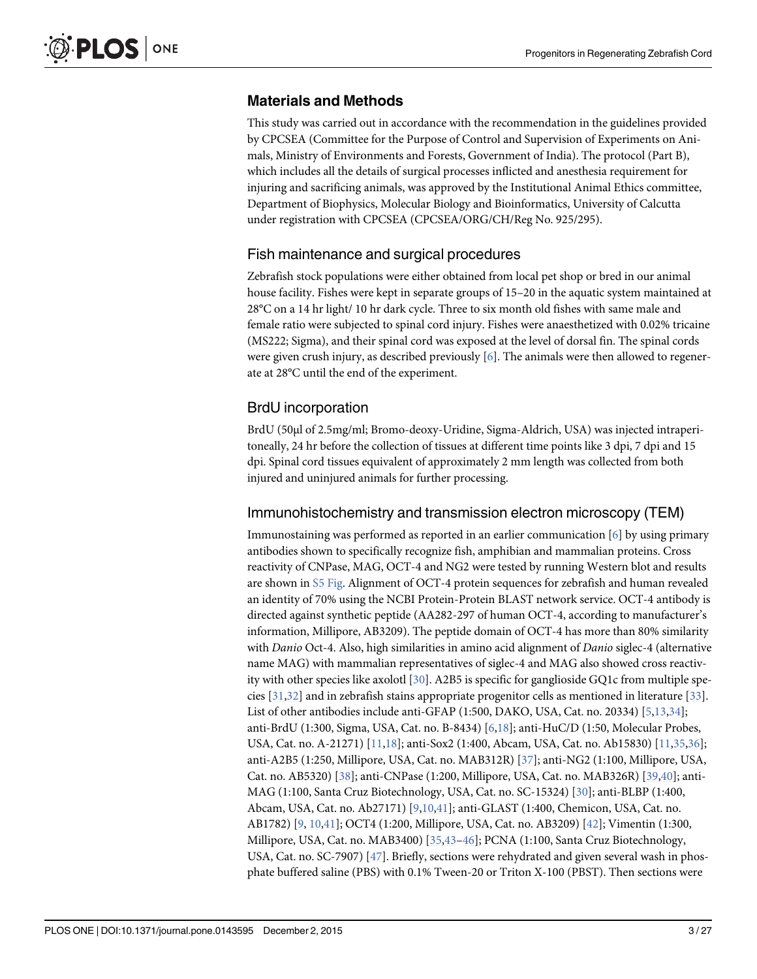#### Materials and Methods

This study was carried out in accordance with the recommendation in the guidelines provided by CPCSEA (Committee for the Purpose of Control and Supervision of Experiments on Animals, Ministry of Environments and Forests, Government of India). The protocol (Part B), which includes all the details of surgical processes inflicted and anesthesia requirement for injuring and sacrificing animals, was approved by the Institutional Animal Ethics committee, Department of Biophysics, Molecular Biology and Bioinformatics, University of Calcutta under registration with CPCSEA (CPCSEA/ORG/CH/Reg No. 925/295).

#### Fish maintenance and surgical procedures

Zebrafish stock populations were either obtained from local pet shop or bred in our animal house facility. Fishes were kept in separate groups of 15–20 in the aquatic system maintained at 28°C on a 14 hr light/ 10 hr dark cycle. Three to six month old fishes with same male and female ratio were subjected to spinal cord injury. Fishes were anaesthetized with 0.02% tricaine (MS222; Sigma), and their spinal cord was exposed at the level of dorsal fin. The spinal cords were given crush injury, as described previously  $[6]$ . The animals were then allowed to regenerate at 28°C until the end of the experiment.

#### BrdU incorporation

BrdU (50μl of 2.5mg/ml; Bromo-deoxy-Uridine, Sigma-Aldrich, USA) was injected intraperitoneally, 24 hr before the collection of tissues at different time points like 3 dpi, 7 dpi and 15 dpi. Spinal cord tissues equivalent of approximately 2 mm length was collected from both injured and uninjured animals for further processing.

#### Immunohistochemistry and transmission electron microscopy (TEM)

Immunostaining was performed as reported in an earlier communication [6] by using primary antibodies shown to specifically recognize fish, amphibian and mammalian proteins. Cross reactivity of CNPase, MAG, OCT-4 and NG2 were tested by running Western blot and results are shown in S5 Fig. Alignment of OCT-4 protein sequences for zebrafish and human revealed an identity of 70% using the NCBI Protein-Protein BLAST network service. OCT-4 antibody is directed against synthetic peptide (AA282-297 of human OCT-4, according to manufacturer's information, Millipore, AB3209). The peptide domain of OCT-4 has more than 80% similarity with *Danio* Oct-4. Also, high similarities in amino acid alignment of *Danio* siglec-4 (alternative name MAG) with mammalian representatives of siglec-4 and MAG also showed cross reactivity with other species like axolotl [30]. A2B5 is specific for ganglioside GQ1c from multiple species [31,32] and in zebrafish stains appropriate progenitor cells as mentioned in literature [33]. List of other antibodies include anti-GFAP (1:500, DAKO, USA, Cat. no. 20334) [5,13,34]; anti-BrdU (1:300, Sigma, USA, Cat. no. B-8434) [6,18]; anti-HuC/D (1:50, Molecular Probes, USA, Cat. no. A-21271) [11,18]; anti-Sox2 (1:400, Abcam, USA, Cat. no. Ab15830) [11,35,36]; anti-A2B5 (1:250, Millipore, USA, Cat. no. MAB312R) [37]; anti-NG2 (1:100, Millipore, USA, Cat. no. AB5320) [38]; anti-CNPase (1:200, Millipore, USA, Cat. no. MAB326R) [39,40]; anti-MAG (1:100, Santa Cruz Biotechnology, USA, Cat. no. SC-15324) [30]; anti-BLBP (1:400, Abcam, USA, Cat. no. Ab27171) [9,10,41]; anti-GLAST (1:400, Chemicon, USA, Cat. no. AB1782) [9, 10,41]; OCT4 (1:200, Millipore, USA, Cat. no. AB3209) [42]; Vimentin (1:300, Millipore, USA, Cat. no. MAB3400) [35,43–46]; PCNA (1:100, Santa Cruz Biotechnology, USA, Cat. no. SC-7907) [47]. Briefly, sections were rehydrated and given several wash in phosphate buffered saline (PBS) with 0.1% Tween-20 or Triton X-100 (PBST). Then sections were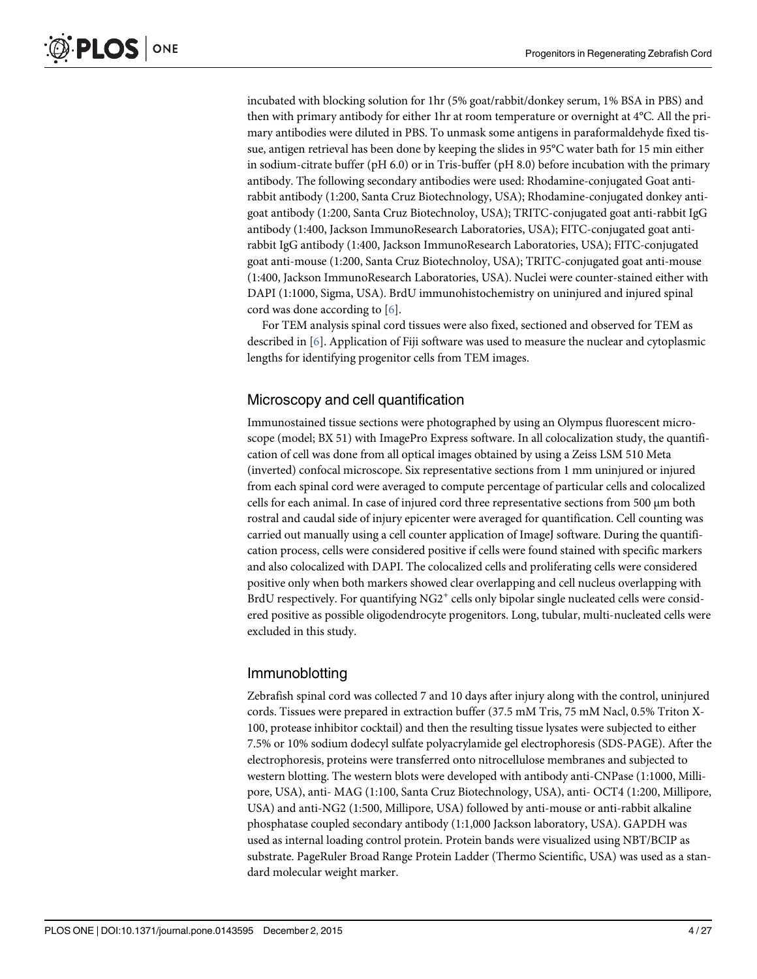incubated with blocking solution for 1hr (5% goat/rabbit/donkey serum, 1% BSA in PBS) and then with primary antibody for either 1hr at room temperature or overnight at 4°C. All the primary antibodies were diluted in PBS. To unmask some antigens in paraformaldehyde fixed tissue, antigen retrieval has been done by keeping the slides in 95°C water bath for 15 min either in sodium-citrate buffer (pH 6.0) or in Tris-buffer (pH 8.0) before incubation with the primary antibody. The following secondary antibodies were used: Rhodamine-conjugated Goat antirabbit antibody (1:200, Santa Cruz Biotechnology, USA); Rhodamine-conjugated donkey antigoat antibody (1:200, Santa Cruz Biotechnoloy, USA); TRITC-conjugated goat anti-rabbit IgG antibody (1:400, Jackson ImmunoResearch Laboratories, USA); FITC-conjugated goat antirabbit IgG antibody (1:400, Jackson ImmunoResearch Laboratories, USA); FITC-conjugated goat anti-mouse (1:200, Santa Cruz Biotechnoloy, USA); TRITC-conjugated goat anti-mouse (1:400, Jackson ImmunoResearch Laboratories, USA). Nuclei were counter-stained either with DAPI (1:1000, Sigma, USA). BrdU immunohistochemistry on uninjured and injured spinal cord was done according to [6].

For TEM analysis spinal cord tissues were also fixed, sectioned and observed for TEM as described in [6]. Application of Fiji software was used to measure the nuclear and cytoplasmic lengths for identifying progenitor cells from TEM images.

#### Microscopy and cell quantification

Immunostained tissue sections were photographed by using an Olympus fluorescent microscope (model; BX 51) with ImagePro Express software. In all colocalization study, the quantification of cell was done from all optical images obtained by using a Zeiss LSM 510 Meta (inverted) confocal microscope. Six representative sections from 1 mm uninjured or injured from each spinal cord were averaged to compute percentage of particular cells and colocalized cells for each animal. In case of injured cord three representative sections from 500 μm both rostral and caudal side of injury epicenter were averaged for quantification. Cell counting was carried out manually using a cell counter application of ImageJ software. During the quantification process, cells were considered positive if cells were found stained with specific markers and also colocalized with DAPI. The colocalized cells and proliferating cells were considered positive only when both markers showed clear overlapping and cell nucleus overlapping with BrdU respectively. For quantifying NG2<sup>+</sup> cells only bipolar single nucleated cells were considered positive as possible oligodendrocyte progenitors. Long, tubular, multi-nucleated cells were excluded in this study.

#### Immunoblotting

Zebrafish spinal cord was collected 7 and 10 days after injury along with the control, uninjured cords. Tissues were prepared in extraction buffer (37.5 mM Tris, 75 mM Nacl, 0.5% Triton X-100, protease inhibitor cocktail) and then the resulting tissue lysates were subjected to either 7.5% or 10% sodium dodecyl sulfate polyacrylamide gel electrophoresis (SDS-PAGE). After the electrophoresis, proteins were transferred onto nitrocellulose membranes and subjected to western blotting. The western blots were developed with antibody anti-CNPase (1:1000, Millipore, USA), anti- MAG (1:100, Santa Cruz Biotechnology, USA), anti- OCT4 (1:200, Millipore, USA) and anti-NG2 (1:500, Millipore, USA) followed by anti-mouse or anti-rabbit alkaline phosphatase coupled secondary antibody (1:1,000 Jackson laboratory, USA). GAPDH was used as internal loading control protein. Protein bands were visualized using NBT/BCIP as substrate. PageRuler Broad Range Protein Ladder (Thermo Scientific, USA) was used as a standard molecular weight marker.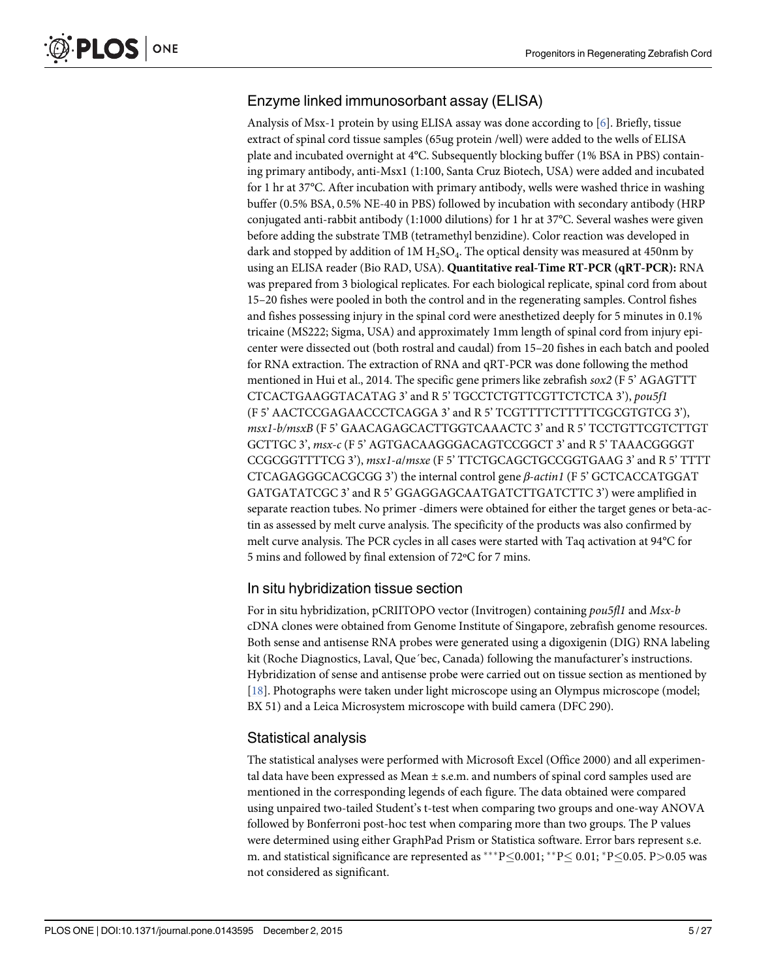## Enzyme linked immunosorbant assay (ELISA)

Analysis of Msx-1 protein by using ELISA assay was done according to [6]. Briefly, tissue extract of spinal cord tissue samples (65ug protein /well) were added to the wells of ELISA plate and incubated overnight at 4°C. Subsequently blocking buffer (1% BSA in PBS) containing primary antibody, anti-Msx1 (1:100, Santa Cruz Biotech, USA) were added and incubated for 1 hr at 37°C. After incubation with primary antibody, wells were washed thrice in washing buffer (0.5% BSA, 0.5% NE-40 in PBS) followed by incubation with secondary antibody (HRP conjugated anti-rabbit antibody (1:1000 dilutions) for 1 hr at 37°C. Several washes were given before adding the substrate TMB (tetramethyl benzidine). Color reaction was developed in dark and stopped by addition of 1M  $\rm H_2SO_4$ . The optical density was measured at 450nm by using an ELISA reader (Bio RAD, USA). Quantitative real-Time RT-PCR (qRT-PCR): RNA was prepared from 3 biological replicates. For each biological replicate, spinal cord from about 15–20 fishes were pooled in both the control and in the regenerating samples. Control fishes and fishes possessing injury in the spinal cord were anesthetized deeply for 5 minutes in 0.1% tricaine (MS222; Sigma, USA) and approximately 1mm length of spinal cord from injury epicenter were dissected out (both rostral and caudal) from 15–20 fishes in each batch and pooled for RNA extraction. The extraction of RNA and qRT-PCR was done following the method mentioned in Hui et al., 2014. The specific gene primers like zebrafish sox2 (F 5' AGAGTTT CTCACTGAAGGTACATAG 3' and R 5' TGCCTCTGTTCGTTCTCTCA 3'), pou5f1 (F 5' AACTCCGAGAACCCTCAGGA 3' and R 5' TCGTTTTCTTTTTCGCGTGTCG 3'), msx1-b/msxB (F 5' GAACAGAGCACTTGGTCAAACTC 3' and R 5' TCCTGTTCGTCTTGT GCTTGC 3', msx-c (F 5' AGTGACAAGGGACAGTCCGGCT 3' and R 5' TAAACGGGGT CCGCGGTTTTCG 3'), msx1-a/msxe (F 5' TTCTGCAGCTGCCGGTGAAG 3' and R 5' TTTT CTCAGAGGGCACGCGG 3') the internal control gene β-actin1 (F 5' GCTCACCATGGAT GATGATATCGC 3' and R 5' GGAGGAGCAATGATCTTGATCTTC 3') were amplified in separate reaction tubes. No primer -dimers were obtained for either the target genes or beta-actin as assessed by melt curve analysis. The specificity of the products was also confirmed by melt curve analysis. The PCR cycles in all cases were started with Taq activation at 94°C for 5 mins and followed by final extension of 72ºC for 7 mins.

#### In situ hybridization tissue section

For in situ hybridization, pCRIITOPO vector (Invitrogen) containing pou5fl1 and Msx-b cDNA clones were obtained from Genome Institute of Singapore, zebrafish genome resources. Both sense and antisense RNA probes were generated using a digoxigenin (DIG) RNA labeling kit (Roche Diagnostics, Laval, Que´bec, Canada) following the manufacturer's instructions. Hybridization of sense and antisense probe were carried out on tissue section as mentioned by [18]. Photographs were taken under light microscope using an Olympus microscope (model; BX 51) and a Leica Microsystem microscope with build camera (DFC 290).

#### Statistical analysis

The statistical analyses were performed with Microsoft Excel (Office 2000) and all experimental data have been expressed as Mean  $\pm$  s.e.m. and numbers of spinal cord samples used are mentioned in the corresponding legends of each figure. The data obtained were compared using unpaired two-tailed Student's t-test when comparing two groups and one-way ANOVA followed by Bonferroni post-hoc test when comparing more than two groups. The P values were determined using either GraphPad Prism or Statistica software. Error bars represent s.e. m. and statistical significance are represented as \*\*\* P $\leq$ 0.001; \*\* P $\leq$ 0.01; \*P $\leq$ 0.05. P $>$ 0.05 was not considered as significant.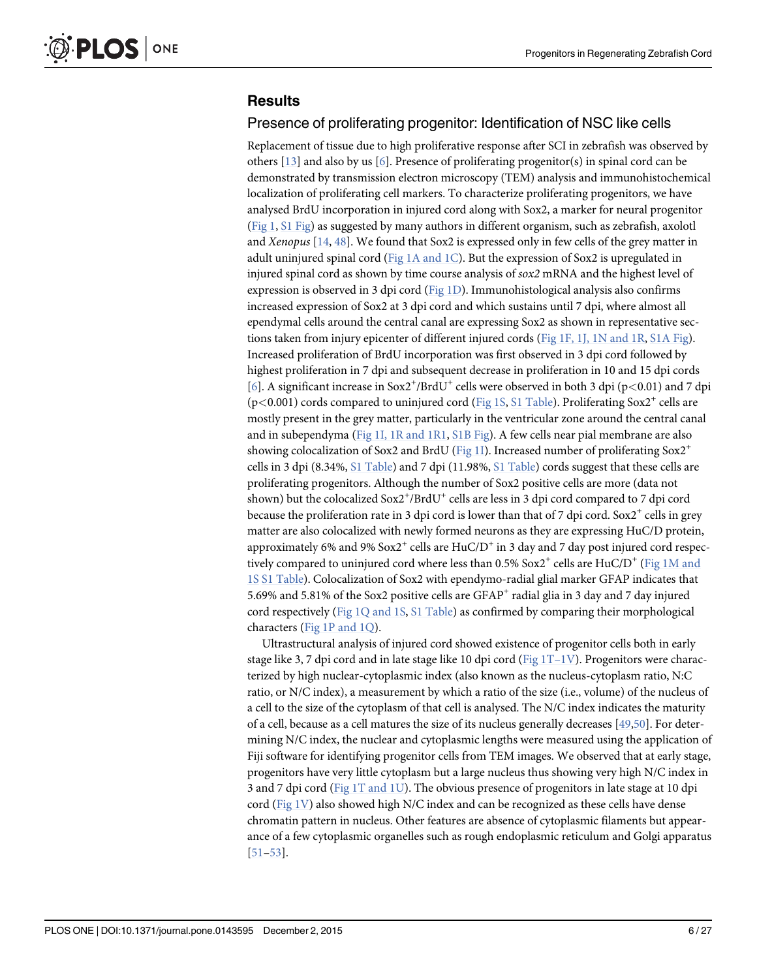### **Results**

#### Presence of proliferating progenitor: Identification of NSC like cells

Replacement of tissue due to high proliferative response after SCI in zebrafish was observed by others  $[13]$  and also by us  $[6]$ . Presence of proliferating progenitor(s) in spinal cord can be demonstrated by transmission electron microscopy (TEM) analysis and immunohistochemical localization of proliferating cell markers. To characterize proliferating progenitors, we have analysed BrdU incorporation in injured cord along with Sox2, a marker for neural progenitor (Fig 1, S1 Fig) as suggested by many authors in different organism, such as zebrafish, axolotl and Xenopus  $[14, 48]$ . We found that Sox2 is expressed only in few cells of the grey matter in adult uninjured spinal cord ( $Fig 1A$  and  $1C$ ). But the expression of Sox2 is upregulated in injured spinal cord as shown by time course analysis of  $sox2$  mRNA and the highest level of expression is observed in 3 dpi cord ( $Fig 1D$ ). Immunohistological analysis also confirms increased expression of Sox2 at 3 dpi cord and which sustains until 7 dpi, where almost all ependymal cells around the central canal are expressing Sox2 as shown in representative sections taken from injury epicenter of different injured cords (Fig 1F, 1J, 1N and 1R, S1A Fig). Increased proliferation of BrdU incorporation was first observed in 3 dpi cord followed by highest proliferation in 7 dpi and subsequent decrease in proliferation in 10 and 15 dpi cords [6]. A significant increase in Sox2<sup>+</sup>/BrdU<sup>+</sup> cells were observed in both 3 dpi (p<0.01) and 7 dpi ( $p$ <0.001) cords compared to uninjured cord ( $Fig 1S, S1 Table$ ). Proliferating Sox2<sup>+</sup> cells are</u> mostly present in the grey matter, particularly in the ventricular zone around the central canal and in subependyma (Fig 1I, 1R and 1R1, S1B Fig). A few cells near pial membrane are also showing colocalization of Sox2 and BrdU (Fig 11). Increased number of proliferating Sox2<sup>+</sup> cells in 3 dpi (8.34%, S1 Table) and 7 dpi (11.98%, S1 Table) cords suggest that these cells are proliferating progenitors. Although the number of Sox2 positive cells are more (data not shown) but the colocalized Sox2<sup>+</sup>/BrdU<sup>+</sup> cells are less in 3 dpi cord compared to 7 dpi cord because the proliferation rate in 3 dpi cord is lower than that of 7 dpi cord. Sox $2^+$  cells in grey matter are also colocalized with newly formed neurons as they are expressing HuC/D protein, approximately 6% and 9%  $Sox2^+$  cells are  $Huc/D^+$  in 3 day and 7 day post injured cord respectively compared to uninjured cord where less than  $0.5\%$  Sox $2^+$  cells are HuC/D<sup>+</sup> (Fig 1M and 1S S1 Table). Colocalization of Sox2 with ependymo-radial glial marker GFAP indicates that 5.69% and 5.81% of the Sox2 positive cells are GFAP<sup>+</sup> radial glia in 3 day and 7 day injured cord respectively (Fig 1Q and 1S, S1 Table) as confirmed by comparing their morphological characters (Fig 1P and 1Q).

Ultrastructural analysis of injured cord showed existence of progenitor cells both in early stage like 3, 7 dpi cord and in late stage like 10 dpi cord ( $Fig 1T-1V$ ). Progenitors were characterized by high nuclear-cytoplasmic index (also known as the nucleus-cytoplasm ratio, N:C ratio, or N/C index), a measurement by which a ratio of the size (i.e., volume) of the nucleus of a cell to the size of the cytoplasm of that cell is analysed. The N/C index indicates the maturity of a cell, because as a cell matures the size of its nucleus generally decreases [49,50]. For determining N/C index, the nuclear and cytoplasmic lengths were measured using the application of Fiji software for identifying progenitor cells from TEM images. We observed that at early stage, progenitors have very little cytoplasm but a large nucleus thus showing very high N/C index in 3 and 7 dpi cord (Fig 1T and 1U). The obvious presence of progenitors in late stage at 10 dpi cord (Fig  $1V$ ) also showed high N/C index and can be recognized as these cells have dense chromatin pattern in nucleus. Other features are absence of cytoplasmic filaments but appearance of a few cytoplasmic organelles such as rough endoplasmic reticulum and Golgi apparatus [51–53].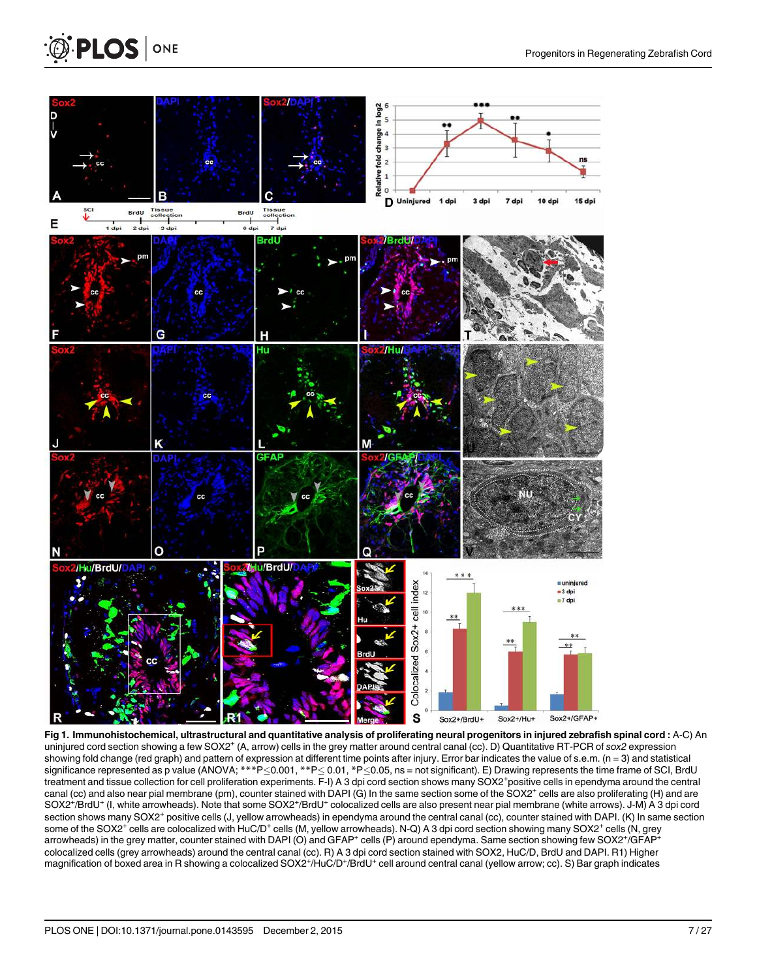

Fig 1. Immunohistochemical, ultrastructural and quantitative analysis of proliferating neural progenitors in injured zebrafish spinal cord : A-C) An uninjured cord section showing a few SOX2<sup>+</sup> (A, arrow) cells in the grey matter around central canal (cc). D) Quantitative RT-PCR of sox2 expression showing fold change (red graph) and pattern of expression at different time points after injury. Error bar indicates the value of s.e.m. (n = 3) and statistical significance represented as p value (ANOVA; \*\*\*P $\leq$ 0.001, \*\*P $\leq$ 0.01, \*P $\leq$ 0.05, ns = not significant). E) Drawing represents the time frame of SCI, BrdU treatment and tissue collection for cell proliferation experiments. F-I) A 3 dpi cord section shows many SOX2+positive cells in ependyma around the central canal (cc) and also near pial membrane (pm), counter stained with DAPI (G) In the same section some of the SOX2<sup>+</sup> cells are also proliferating (H) and are SOX2<sup>+</sup>/BrdU<sup>+</sup> (I, white arrowheads). Note that some SOX2<sup>+</sup>/BrdU<sup>+</sup> colocalized cells are also present near pial membrane (white arrows). J-M) A 3 dpi cord section shows many SOX2<sup>+</sup> positive cells (J, yellow arrowheads) in ependyma around the central canal (cc), counter stained with DAPI. (K) In same section some of the SOX2<sup>+</sup> cells are colocalized with HuC/D<sup>+</sup> cells (M, yellow arrowheads). N-Q) A 3 dpi cord section showing many SOX2<sup>+</sup> cells (N, grey<br>arrowheads) in the grey matter, counter stained with DAPI (O) and GFAP<sup>+</sup> colocalized cells (grey arrowheads) around the central canal (cc). R) A 3 dpi cord section stained with SOX2, HuC/D, BrdU and DAPI. R1) Higher magnification of boxed area in R showing a colocalized SOX2+/HuC/D+/BrdU+ cell around central canal (yellow arrow; cc). S) Bar graph indicates

**PLOS** ONE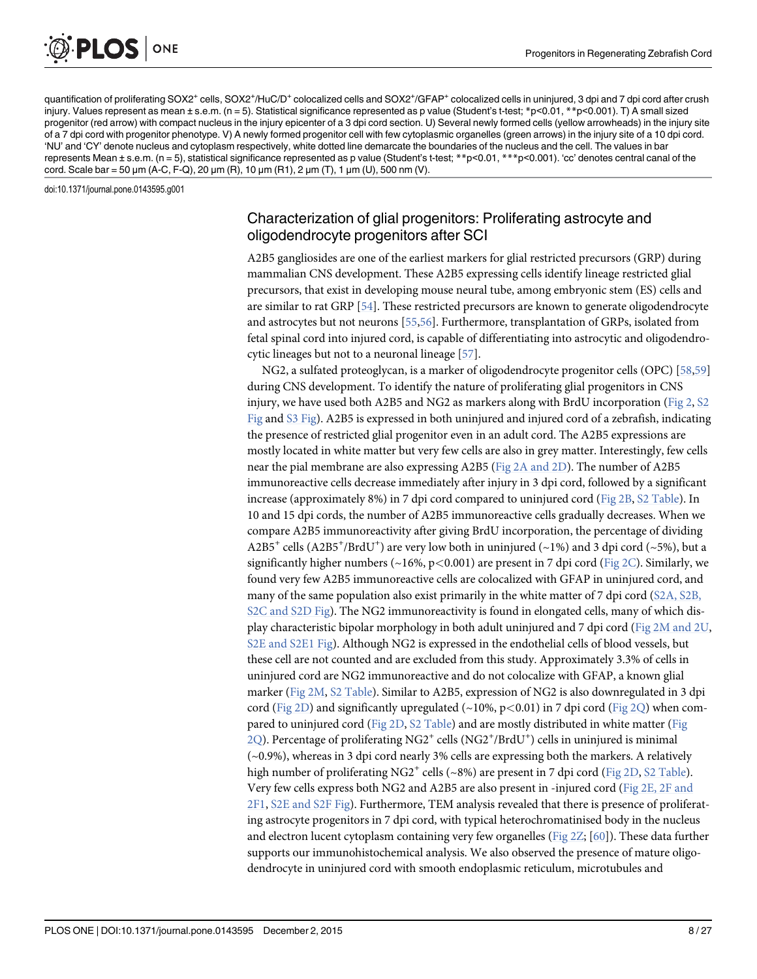quantification of proliferating SOX2<sup>+</sup> cells, SOX2<sup>+</sup>/HuC/D<sup>+</sup> colocalized cells and SOX2<sup>+</sup>/GFAP<sup>+</sup> colocalized cells in uninjured, 3 dpi and 7 dpi cord after crush injury. Values represent as mean ± s.e.m. (n = 5). Statistical significance represented as p value (Student's t-test; \*p<0.01, \*\*p<0.001). T) A small sized progenitor (red arrow) with compact nucleus in the injury epicenter of a 3 dpi cord section. U) Several newly formed cells (yellow arrowheads) in the injury site of a 7 dpi cord with progenitor phenotype. V) A newly formed progenitor cell with few cytoplasmic organelles (green arrows) in the injury site of a 10 dpi cord. 'NU' and 'CY' denote nucleus and cytoplasm respectively, white dotted line demarcate the boundaries of the nucleus and the cell. The values in bar represents Mean ± s.e.m. (n = 5), statistical significance represented as p value (Student's t-test; \*\*p<0.01, \*\*\*p<0.001). 'cc' denotes central canal of the cord. Scale bar = 50 μm (A-C, F-Q), 20 μm (R), 10 μm (R1), 2 μm (T), 1 μm (U), 500 nm (V).

doi:10.1371/journal.pone.0143595.g001

**PLOS** ONE

#### Characterization of glial progenitors: Proliferating astrocyte and oligodendrocyte progenitors after SCI

A2B5 gangliosides are one of the earliest markers for glial restricted precursors (GRP) during mammalian CNS development. These A2B5 expressing cells identify lineage restricted glial precursors, that exist in developing mouse neural tube, among embryonic stem (ES) cells and are similar to rat GRP [54]. These restricted precursors are known to generate oligodendrocyte and astrocytes but not neurons [55,56]. Furthermore, transplantation of GRPs, isolated from fetal spinal cord into injured cord, is capable of differentiating into astrocytic and oligodendrocytic lineages but not to a neuronal lineage [57].

NG2, a sulfated proteoglycan, is a marker of oligodendrocyte progenitor cells (OPC) [58,59] during CNS development. To identify the nature of proliferating glial progenitors in CNS injury, we have used both A2B5 and NG2 as markers along with BrdU incorporation (Fig  $2$ ,  $\Sigma$ ) Fig and S3 Fig). A2B5 is expressed in both uninjured and injured cord of a zebrafish, indicating the presence of restricted glial progenitor even in an adult cord. The A2B5 expressions are mostly located in white matter but very few cells are also in grey matter. Interestingly, few cells near the pial membrane are also expressing A2B5 (Fig 2A and 2D). The number of A2B5 immunoreactive cells decrease immediately after injury in 3 dpi cord, followed by a significant increase (approximately 8%) in 7 dpi cord compared to uninjured cord (Fig 2B, S2 Table). In 10 and 15 dpi cords, the number of A2B5 immunoreactive cells gradually decreases. When we compare A2B5 immunoreactivity after giving BrdU incorporation, the percentage of dividing A2B5<sup>+</sup> cells (A2B5<sup>+</sup>/BrdU<sup>+</sup>) are very low both in uninjured (~1%) and 3 dpi cord (~5%), but a significantly higher numbers (~16%, p<0.001) are present in 7 dpi cord ( $Fig 2C$ ). Similarly, we found very few A2B5 immunoreactive cells are colocalized with GFAP in uninjured cord, and many of the same population also exist primarily in the white matter of 7 dpi cord (S2A, S2B, S2C and S2D Fig). The NG2 immunoreactivity is found in elongated cells, many of which display characteristic bipolar morphology in both adult uninjured and 7 dpi cord (Fig 2M and 2U, S2E and S2E1 Fig). Although NG2 is expressed in the endothelial cells of blood vessels, but these cell are not counted and are excluded from this study. Approximately 3.3% of cells in uninjured cord are NG2 immunoreactive and do not colocalize with GFAP, a known glial marker (Fig 2M, S2 Table). Similar to A2B5, expression of NG2 is also downregulated in 3 dpi cord (Fig 2D) and significantly upregulated (~10%, p<0.01) in 7 dpi cord (Fig 2Q) when compared to uninjured cord (Fig 2D, S2 Table) and are mostly distributed in white matter (Fig <u>2Q</u>). Percentage of proliferating NG2<sup>+</sup> cells (NG2<sup>+</sup>/BrdU<sup>+</sup>) cells in uninjured is minimal  $(-0.9%)$ , whereas in 3 dpi cord nearly 3% cells are expressing both the markers. A relatively high number of proliferating NG2<sup>+</sup> cells (~8%) are present in 7 dpi cord (Fig 2D, S2 Table). Very few cells express both NG2 and A2B5 are also present in -injured cord (Fig 2E, 2F and 2F1, S2E and S2F Fig). Furthermore, TEM analysis revealed that there is presence of proliferating astrocyte progenitors in 7 dpi cord, with typical heterochromatinised body in the nucleus and electron lucent cytoplasm containing very few organelles (Fig 2Z; [60]). These data further supports our immunohistochemical analysis. We also observed the presence of mature oligodendrocyte in uninjured cord with smooth endoplasmic reticulum, microtubules and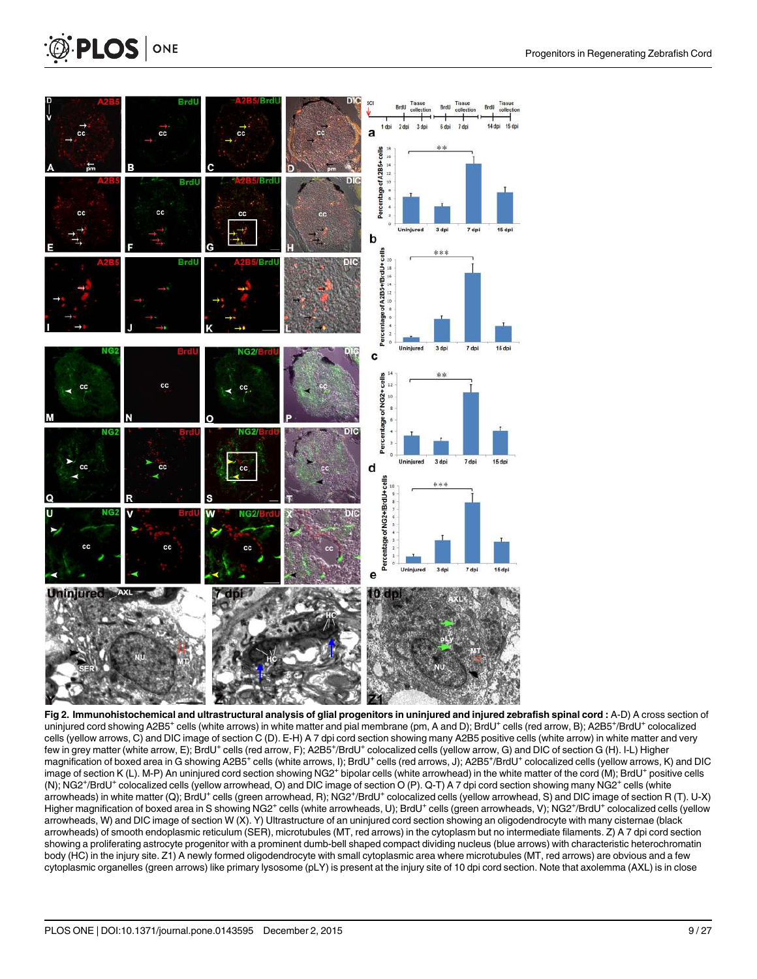



**PLOS** ONE

Fig 2. Immunohistochemical and ultrastructural analysis of glial progenitors in uninjured and injured zebrafish spinal cord : A-D) A cross section of uninjured cord showing A2B5<sup>+</sup> cells (white arrows) in white matter and pial membrane (pm, A and D); BrdU<sup>+</sup> cells (red arrow, B); A2B5<sup>+</sup>/BrdU<sup>+</sup> colocalized cells (yellow arrows, C) and DIC image of section C (D). E-H) A 7 dpi cord section showing many A2B5 positive cells (white arrow) in white matter and very few in grey matter (white arrow, E); BrdU<sup>+</sup> cells (red arrow, F); A2B5<sup>+</sup>/BrdU<sup>+</sup> colocalized cells (yellow arrow, G) and DIC of section G (H). I-L) Higher magnification of boxed area in G showing A2B5<sup>+</sup> cells (white arrows, I); BrdU<sup>+</sup> cells (red arrows, J); A2B5<sup>+</sup>/BrdU<sup>+</sup> colocalized cells (yellow arrows, K) and DIC image of section K (L). M-P) An uninjured cord section showing NG2<sup>+</sup> bipolar cells (white arrowhead) in the white matter of the cord (M); BrdU<sup>+</sup> positive cells (N); NG2+/BrdU<sup>+</sup> colocalized cells (yellow arrowhead, O) and DIC image of section O (P). Q-T) A 7 dpi cord section showing many NG2<sup>+</sup> cells (white arrowheads) in white matter (Q); BrdU+ cells (green arrowhead, R); NG2+/BrdU+ colocalized cells (yellow arrowhead, S) and DIC image of section R (T). U-X) Higher magnification of boxed area in S showing NG2<sup>+</sup> cells (white arrowheads, U); BrdU<sup>+</sup> cells (green arrowheads, V); NG2<sup>+</sup>/BrdU<sup>+</sup> colocalized cells (yellow arrowheads, W) and DIC image of section W (X). Y) Ultrastructure of an uninjured cord section showing an oligodendrocyte with many cisternae (black arrowheads) of smooth endoplasmic reticulum (SER), microtubules (MT, red arrows) in the cytoplasm but no intermediate filaments. Z) A 7 dpi cord section showing a proliferating astrocyte progenitor with a prominent dumb-bell shaped compact dividing nucleus (blue arrows) with characteristic heterochromatin body (HC) in the injury site. Z1) A newly formed oligodendrocyte with small cytoplasmic area where microtubules (MT, red arrows) are obvious and a few cytoplasmic organelles (green arrows) like primary lysosome (pLY) is present at the injury site of 10 dpi cord section. Note that axolemma (AXL) is in close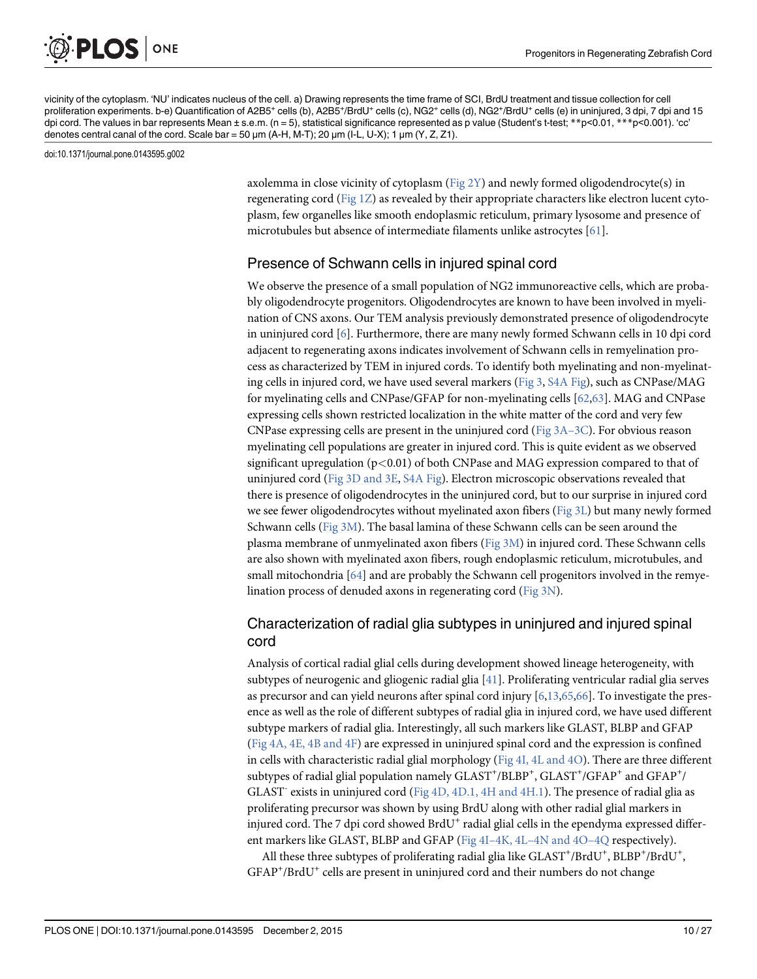

vicinity of the cytoplasm. 'NU' indicates nucleus of the cell. a) Drawing represents the time frame of SCI, BrdU treatment and tissue collection for cell proliferation experiments. b-e) Quantification of A2B5<sup>+</sup> cells (b), A2B5+/BrdU<sup>+</sup> cells (c), NG2+ cells (d), NG2+/BrdU<sup>+</sup> cells (e) in uninjured, 3 dpi, 7 dpi and 15 dpi cord. The values in bar represents Mean ± s.e.m. (n = 5), statistical significance represented as p value (Student's t-test; \*\*p<0.01, \*\*\*p<0.001). 'cc' denotes central canal of the cord. Scale bar = 50 μm (A-H, M-T); 20 μm (I-L, U-X); 1 μm (Y, Z, Z1).

doi:10.1371/journal.pone.0143595.g002

axolemma in close vicinity of cytoplasm ( $Fig 2Y$ ) and newly formed oligodendrocyte(s) in regenerating cord (Fig 1Z) as revealed by their appropriate characters like electron lucent cytoplasm, few organelles like smooth endoplasmic reticulum, primary lysosome and presence of microtubules but absence of intermediate filaments unlike astrocytes [61].

#### Presence of Schwann cells in injured spinal cord

We observe the presence of a small population of NG2 immunoreactive cells, which are probably oligodendrocyte progenitors. Oligodendrocytes are known to have been involved in myelination of CNS axons. Our TEM analysis previously demonstrated presence of oligodendrocyte in uninjured cord [6]. Furthermore, there are many newly formed Schwann cells in 10 dpi cord adjacent to regenerating axons indicates involvement of Schwann cells in remyelination process as characterized by TEM in injured cords. To identify both myelinating and non-myelinating cells in injured cord, we have used several markers (Fig 3, S4A Fig), such as CNPase/MAG for myelinating cells and CNPase/GFAP for non-myelinating cells [62,63]. MAG and CNPase expressing cells shown restricted localization in the white matter of the cord and very few CNPase expressing cells are present in the uninjured cord (Fig  $3A-3C$ ). For obvious reason myelinating cell populations are greater in injured cord. This is quite evident as we observed significant upregulation ( $p<0.01$ ) of both CNPase and MAG expression compared to that of uninjured cord (Fig 3D and 3E, S4A Fig). Electron microscopic observations revealed that there is presence of oligodendrocytes in the uninjured cord, but to our surprise in injured cord we see fewer oligodendrocytes without myelinated axon fibers (Fig 3L) but many newly formed Schwann cells (Fig 3M). The basal lamina of these Schwann cells can be seen around the plasma membrane of unmyelinated axon fibers (Fig 3M) in injured cord. These Schwann cells are also shown with myelinated axon fibers, rough endoplasmic reticulum, microtubules, and small mitochondria [64] and are probably the Schwann cell progenitors involved in the remyelination process of denuded axons in regenerating cord (Fig 3N).

#### Characterization of radial glia subtypes in uninjured and injured spinal cord

Analysis of cortical radial glial cells during development showed lineage heterogeneity, with subtypes of neurogenic and gliogenic radial glia  $[41]$ . Proliferating ventricular radial glia serves as precursor and can yield neurons after spinal cord injury [6,13,65,66]. To investigate the presence as well as the role of different subtypes of radial glia in injured cord, we have used different subtype markers of radial glia. Interestingly, all such markers like GLAST, BLBP and GFAP (Fig 4A, 4E, 4B and 4F) are expressed in uninjured spinal cord and the expression is confined in cells with characteristic radial glial morphology (Fig 4I, 4L and 4O). There are three different subtypes of radial glial population namely GLAST<sup>+</sup>/BLBP<sup>+</sup>, GLAST<sup>+</sup>/GFAP<sup>+</sup> and GFAP<sup>+</sup>/ GLAST<sup>-</sup> exists in uninjured cord (Fig 4D, 4D.1, 4H and 4H.1). The presence of radial glia as proliferating precursor was shown by using BrdU along with other radial glial markers in injured cord. The 7 dpi cord showed BrdU<sup>+</sup> radial glial cells in the ependyma expressed different markers like GLAST, BLBP and GFAP (Fig 4I–4K, 4L–4N and 4O–4Q respectively).

All these three subtypes of proliferating radial glia like GLAST<sup>+</sup>/BrdU<sup>+</sup>, BLBP<sup>+</sup>/BrdU<sup>+</sup>, GFAP<sup>+</sup>/BrdU<sup>+</sup> cells are present in uninjured cord and their numbers do not change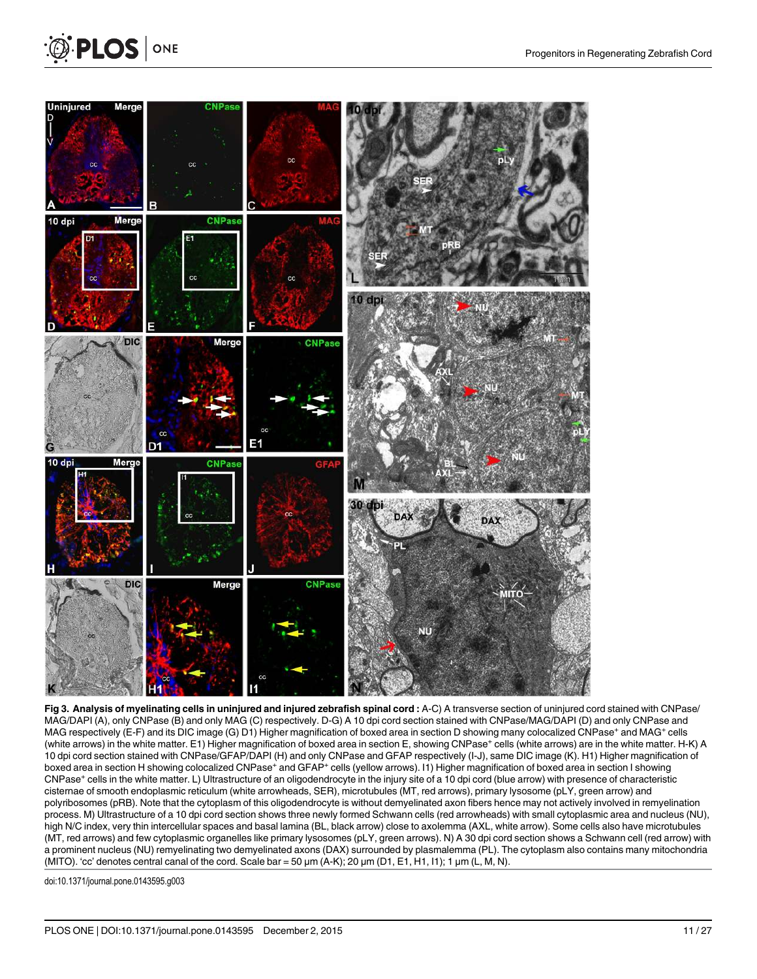

Fig 3. Analysis of myelinating cells in uninjured and injured zebrafish spinal cord: A-C) A transverse section of uninjured cord stained with CNPase/ MAG/DAPI (A), only CNPase (B) and only MAG (C) respectively. D-G) A 10 dpi cord section stained with CNPase/MAG/DAPI (D) and only CNPase and MAG respectively (E-F) and its DIC image (G) D1) Higher magnification of boxed area in section D showing many colocalized CNPase<sup>+</sup> and MAG<sup>+</sup> cells (white arrows) in the white matter. E1) Higher magnification of boxed area in section E, showing CNPase<sup>+</sup> cells (white arrows) are in the white matter. H-K) A 10 dpi cord section stained with CNPase/GFAP/DAPI (H) and only CNPase and GFAP respectively (I-J), same DIC image (K). H1) Higher magnification of boxed area in section H showing colocalized CNPase<sup>+</sup> and GFAP<sup>+</sup> cells (yellow arrows). I1) Higher magnification of boxed area in section I showing CNPase<sup>+</sup> cells in the white matter. L) Ultrastructure of an oligodendrocyte in the injury site of a 10 dpi cord (blue arrow) with presence of characteristic cisternae of smooth endoplasmic reticulum (white arrowheads, SER), microtubules (MT, red arrows), primary lysosome (pLY, green arrow) and polyribosomes (pRB). Note that the cytoplasm of this oligodendrocyte is without demyelinated axon fibers hence may not actively involved in remyelination process. M) Ultrastructure of a 10 dpi cord section shows three newly formed Schwann cells (red arrowheads) with small cytoplasmic area and nucleus (NU), high N/C index, very thin intercellular spaces and basal lamina (BL, black arrow) close to axolemma (AXL, white arrow). Some cells also have microtubules (MT, red arrows) and few cytoplasmic organelles like primary lysosomes (pLY, green arrows). N) A 30 dpi cord section shows a Schwann cell (red arrow) with a prominent nucleus (NU) remyelinating two demyelinated axons (DAX) surrounded by plasmalemma (PL). The cytoplasm also contains many mitochondria (MITO). 'cc' denotes central canal of the cord. Scale bar = 50 μm (A-K); 20 μm (D1, E1, H1, I1); 1 μm (L, M, N).

doi:10.1371/journal.pone.0143595.g003

**PLOS** ONE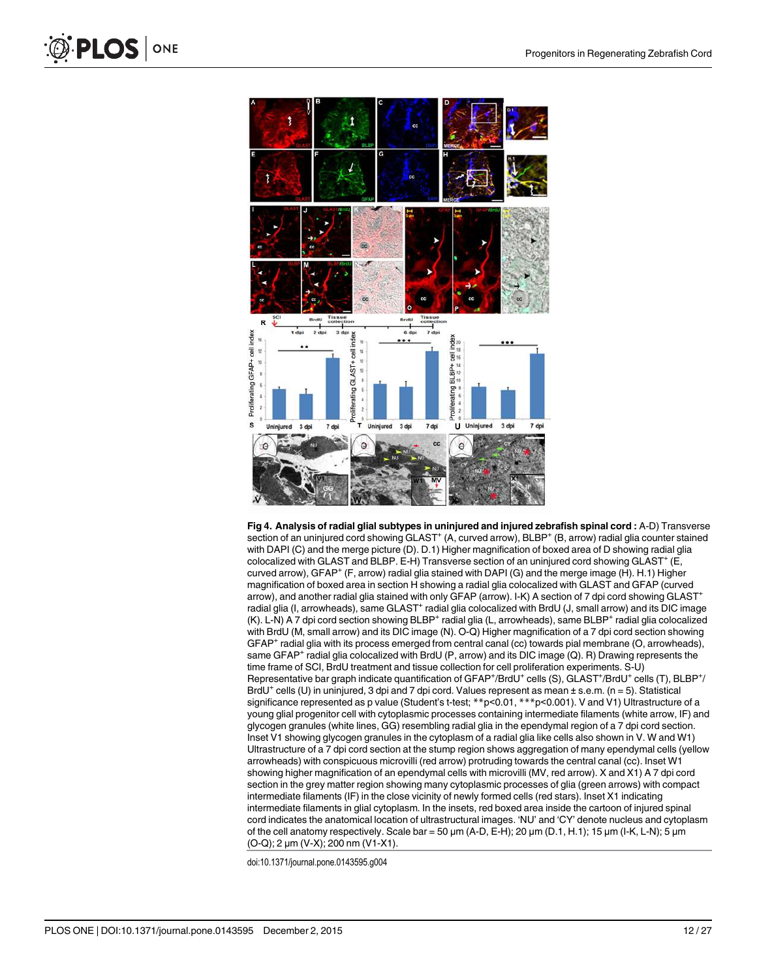



Fig 4. Analysis of radial glial subtypes in uninjured and injured zebrafish spinal cord : A-D) Transverse section of an uninjured cord showing GLAST<sup>+</sup> (A, curved arrow), BLBP<sup>+</sup> (B, arrow) radial glia counter stained with DAPI (C) and the merge picture (D). D.1) Higher magnification of boxed area of D showing radial glia colocalized with GLAST and BLBP. E-H) Transverse section of an uninjured cord showing GLAST<sup>+</sup> (E, curved arrow), GFAP<sup>+</sup> (F, arrow) radial glia stained with DAPI (G) and the merge image (H). H.1) Higher magnification of boxed area in section H showing a radial glia colocalized with GLAST and GFAP (curved arrow), and another radial glia stained with only GFAP (arrow). I-K) A section of 7 dpi cord showing GLAST<sup>+</sup> radial glia (I, arrowheads), same GLAST<sup>+</sup> radial glia colocalized with BrdU (J, small arrow) and its DIC image (K). L-N) A 7 dpi cord section showing BLBP<sup>+</sup> radial glia (L, arrowheads), same BLBP<sup>+</sup> radial glia colocalized with BrdU (M, small arrow) and its DIC image (N). O-Q) Higher magnification of a 7 dpi cord section showing GFAP<sup>+</sup> radial glia with its process emerged from central canal (cc) towards pial membrane (O, arrowheads), same GFAP<sup>+</sup> radial glia colocalized with BrdU (P, arrow) and its DIC image (Q). R) Drawing represents the time frame of SCI, BrdU treatment and tissue collection for cell proliferation experiments. S-U) Representative bar graph indicate quantification of GFAP<sup>+</sup>/BrdU<sup>+</sup> cells (S), GLAST<sup>+</sup>/BrdU<sup>+</sup> cells (T), BLBP<sup>+</sup>/ BrdU<sup>+</sup> cells (U) in uninjured, 3 dpi and 7 dpi cord. Values represent as mean ± s.e.m. (n = 5). Statistical significance represented as p value (Student's t-test; \*\*p<0.01, \*\*\*p<0.001). V and V1) Ultrastructure of a young glial progenitor cell with cytoplasmic processes containing intermediate filaments (white arrow, IF) and glycogen granules (white lines, GG) resembling radial glia in the ependymal region of a 7 dpi cord section. Inset V1 showing glycogen granules in the cytoplasm of a radial glia like cells also shown in V. W and W1) Ultrastructure of a 7 dpi cord section at the stump region shows aggregation of many ependymal cells (yellow arrowheads) with conspicuous microvilli (red arrow) protruding towards the central canal (cc). Inset W1 showing higher magnification of an ependymal cells with microvilli (MV, red arrow). X and X1) A 7 dpi cord section in the grey matter region showing many cytoplasmic processes of glia (green arrows) with compact intermediate filaments (IF) in the close vicinity of newly formed cells (red stars). Inset X1 indicating intermediate filaments in glial cytoplasm. In the insets, red boxed area inside the cartoon of injured spinal cord indicates the anatomical location of ultrastructural images. 'NU' and 'CY' denote nucleus and cytoplasm of the cell anatomy respectively. Scale bar = 50 μm (A-D, E-H); 20 μm (D.1, H.1); 15 μm (I-K, L-N); 5 μm (O-Q); 2 μm (V-X); 200 nm (V1-X1).

doi:10.1371/journal.pone.0143595.g004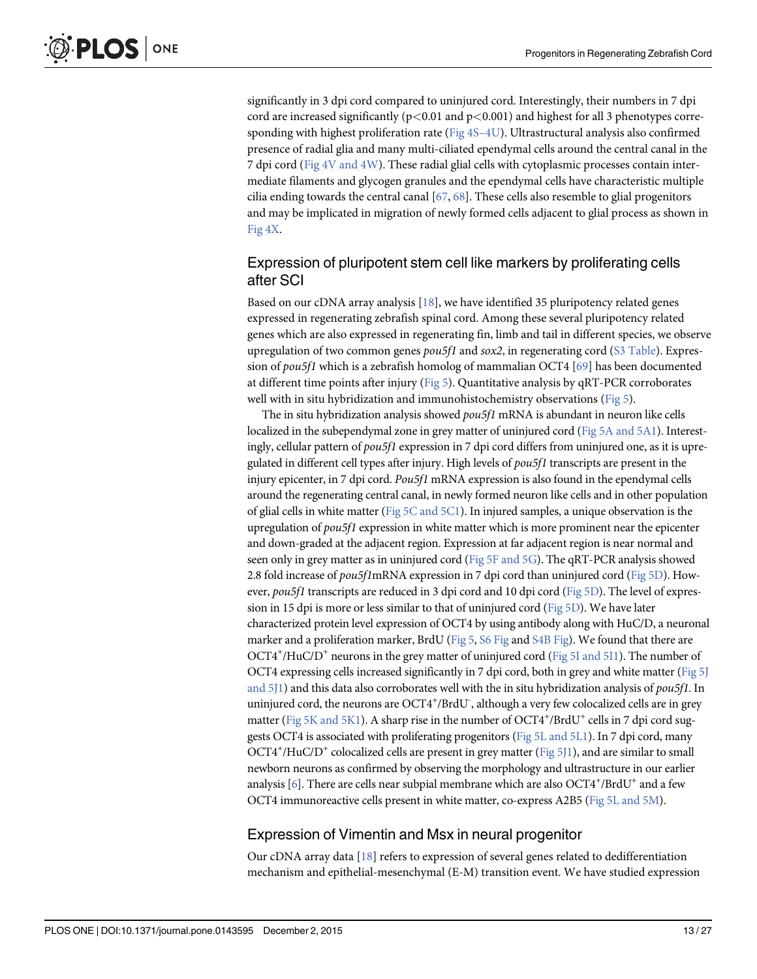significantly in 3 dpi cord compared to uninjured cord. Interestingly, their numbers in 7 dpi cord are increased significantly ( $p<0.01$  and  $p<0.001$ ) and highest for all 3 phenotypes corresponding with highest proliferation rate (Fig 4S–4U). Ultrastructural analysis also confirmed presence of radial glia and many multi-ciliated ependymal cells around the central canal in the 7 dpi cord (Fig 4V and 4W). These radial glial cells with cytoplasmic processes contain intermediate filaments and glycogen granules and the ependymal cells have characteristic multiple cilia ending towards the central canal  $[67, 68]$ . These cells also resemble to glial progenitors and may be implicated in migration of newly formed cells adjacent to glial process as shown in Fig 4X.

#### Expression of pluripotent stem cell like markers by proliferating cells after SCI

Based on our cDNA array analysis [18], we have identified 35 pluripotency related genes expressed in regenerating zebrafish spinal cord. Among these several pluripotency related genes which are also expressed in regenerating fin, limb and tail in different species, we observe upregulation of two common genes  $pou5f1$  and  $sox2$ , in regenerating cord ( $S3$  Table). Expression of pou5f1 which is a zebrafish homolog of mammalian OCT4 [69] has been documented at different time points after injury (Fig 5). Quantitative analysis by qRT-PCR corroborates well with in situ hybridization and immunohistochemistry observations (Fig 5).

The in situ hybridization analysis showed pou5f1 mRNA is abundant in neuron like cells localized in the subependymal zone in grey matter of uninjured cord (Fig 5A and 5A1). Interestingly, cellular pattern of pou5f1 expression in 7 dpi cord differs from uninjured one, as it is upregulated in different cell types after injury. High levels of pou5f1 transcripts are present in the injury epicenter, in 7 dpi cord. Pou5f1 mRNA expression is also found in the ependymal cells around the regenerating central canal, in newly formed neuron like cells and in other population of glial cells in white matter (Fig 5C and 5C1). In injured samples, a unique observation is the upregulation of pou5f1 expression in white matter which is more prominent near the epicenter and down-graded at the adjacent region. Expression at far adjacent region is near normal and seen only in grey matter as in uninjured cord (Fig 5F and 5G). The qRT-PCR analysis showed 2.8 fold increase of  $pou5flmRNA$  expression in 7 dpi cord than uninjured cord (Fig 5D). However, pou5f1 transcripts are reduced in 3 dpi cord and 10 dpi cord (Fig 5D). The level of expression in 15 dpi is more or less similar to that of uninjured cord (Fig 5D). We have later characterized protein level expression of OCT4 by using antibody along with HuC/D, a neuronal marker and a proliferation marker, BrdU (Fig 5, S6 Fig and S4B Fig). We found that there are OCT4<sup>+</sup>/HuC/D<sup>+</sup> neurons in the grey matter of uninjured cord (Fig 5I and 511). The number of OCT4 expressing cells increased significantly in 7 dpi cord, both in grey and white matter (Fig 5J and  $5[1]$  and this data also corroborates well with the in situ hybridization analysis of *pou5f1*. In uninjured cord, the neurons are OCT4<sup>+</sup>/BrdU<sup>-</sup>, although a very few colocalized cells are in grey matter (Fig 5K and 5K1). A sharp rise in the number of OCT4<sup>+</sup>/BrdU<sup>+</sup> cells in 7 dpi cord suggests OCT4 is associated with proliferating progenitors (Fig 5L and 5L1). In 7 dpi cord, many OCT4<sup>+</sup>/HuC/D<sup>+</sup> colocalized cells are present in grey matter (Fig 5J1), and are similar to small newborn neurons as confirmed by observing the morphology and ultrastructure in our earlier analysis [6]. There are cells near subpial membrane which are also  $\mathrm{OCT4}^+$ /Brd $\mathrm{U}^+$  and a few OCT4 immunoreactive cells present in white matter, co-express A2B5 (Fig 5L and 5M).

#### Expression of Vimentin and Msx in neural progenitor

Our cDNA array data [18] refers to expression of several genes related to dedifferentiation mechanism and epithelial-mesenchymal (E-M) transition event. We have studied expression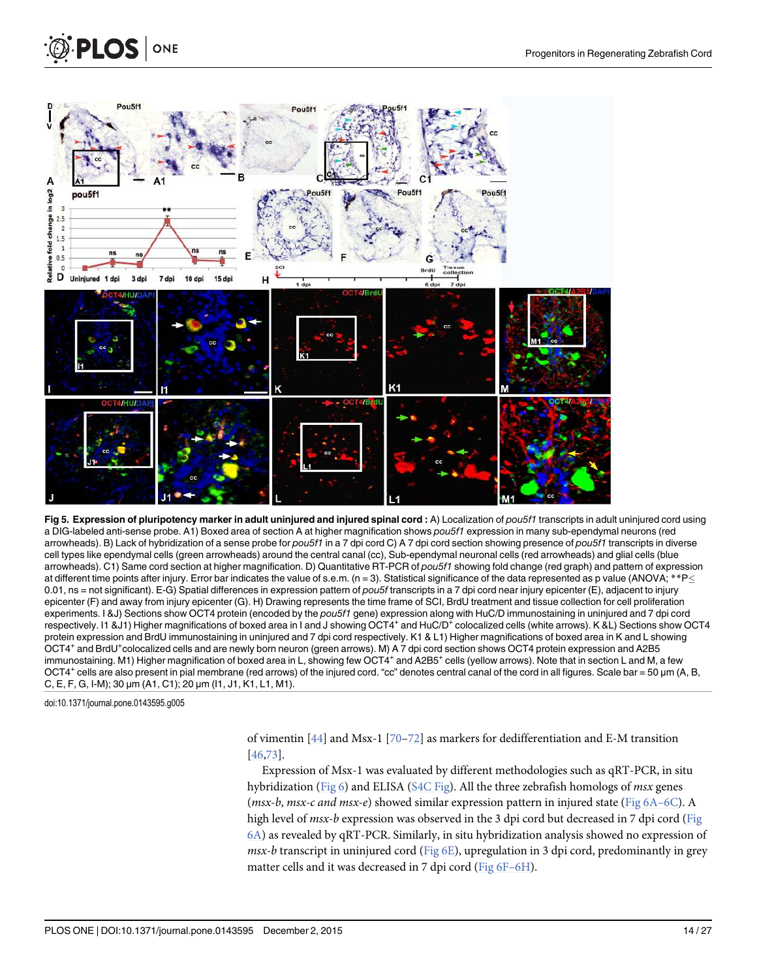

Fig 5. Expression of pluripotency marker in adult uniniured and injured spinal cord: A) Localization of pou5f1 transcripts in adult uniniured cord using a DIG-labeled anti-sense probe. A1) Boxed area of section A at higher magnification shows pou5f1 expression in many sub-ependymal neurons (red arrowheads). B) Lack of hybridization of a sense probe for pou5f1 in a 7 dpi cord C) A 7 dpi cord section showing presence of pou5f1 transcripts in diverse cell types like ependymal cells (green arrowheads) around the central canal (cc), Sub-ependymal neuronal cells (red arrowheads) and glial cells (blue arrowheads). C1) Same cord section at higher magnification. D) Quantitative RT-PCR of pou5f1 showing fold change (red graph) and pattern of expression at different time points after injury. Error bar indicates the value of s.e.m. ( $n = 3$ ). Statistical significance of the data represented as p value (ANOVA; \*\*P $\leq$ 0.01, ns = not significant). E-G) Spatial differences in expression pattern of pou5f transcripts in a 7 dpi cord near injury epicenter (E), adjacent to injury epicenter (F) and away from injury epicenter (G). H) Drawing represents the time frame of SCI, BrdU treatment and tissue collection for cell proliferation experiments. I &J) Sections show OCT4 protein (encoded by the pou5f1 gene) expression along with HuC/D immunostaining in uninjured and 7 dpi cord respectively. I1 &J1) Higher magnifications of boxed area in I and J showing OCT4<sup>+</sup> and HuC/D<sup>+</sup> colocalized cells (white arrows). K &L) Sections show OCT4 protein expression and BrdU immunostaining in uninjured and 7 dpi cord respectively. K1 & L1) Higher magnifications of boxed area in K and L showing OCT4<sup>+</sup> and BrdU<sup>+</sup> colocalized cells and are newly born neuron (green arrows). M) A 7 dpi cord section shows OCT4 protein expression and A2B5 immunostaining. M1) Higher magnification of boxed area in L, showing few OCT4<sup>+</sup> and A2B5<sup>+</sup> cells (yellow arrows). Note that in section L and M, a few OCT4<sup>+</sup> cells are also present in pial membrane (red arrows) of the injured cord. "cc" denotes central canal of the cord in all figures. Scale bar = 50 μm (A, B, C, E, F, G, I-M); 30 μm (A1, C1); 20 μm (I1, J1, K1, L1, M1).

doi:10.1371/journal.pone.0143595.g005

**PLOS** ONE

of vimentin  $[44]$  and Msx-1  $[70-72]$  as markers for dedifferentiation and E-M transition [46,73].

Expression of Msx-1 was evaluated by different methodologies such as qRT-PCR, in situ hybridization (Fig  $6$ ) and ELISA (S4C Fig). All the three zebrafish homologs of *msx* genes ( $msx-b$ ,  $msx-c$  and  $msx-e$ ) showed similar expression pattern in injured state ( $Fig 6A-6C$ ). A high level of *msx-b* expression was observed in the 3 dpi cord but decreased in 7 dpi cord (Fig 6A) as revealed by qRT-PCR. Similarly, in situ hybridization analysis showed no expression of msx-b transcript in uninjured cord (Fig  $6E$ ), upregulation in 3 dpi cord, predominantly in grey matter cells and it was decreased in 7 dpi cord (Fig 6F–6H).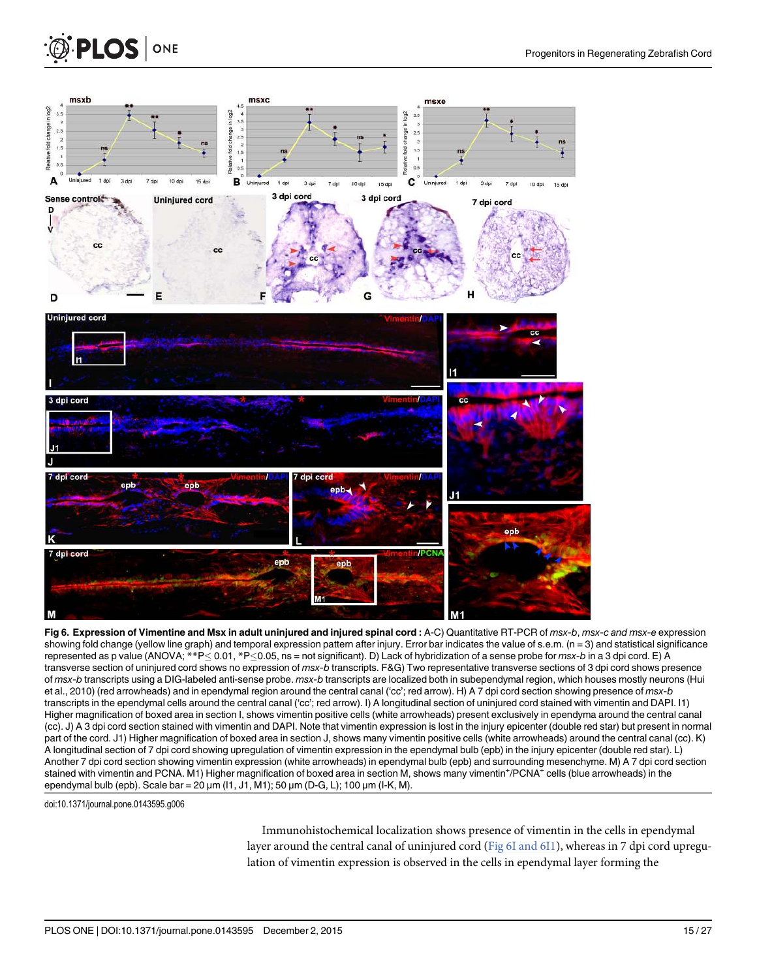



Fig 6. Expression of Vimentine and Msx in adult uninjured and injured spinal cord : A-C) Quantitative RT-PCR of msx-b, msx-c and msx-e expression showing fold change (yellow line graph) and temporal expression pattern after injury. Error bar indicates the value of s.e.m. (n = 3) and statistical significance represented as p value (ANOVA; \*\*P < 0.01, \*P<0.05, ns = not significant). D) Lack of hybridization of a sense probe for msx-b in a 3 dpi cord. E) A transverse section of uninjured cord shows no expression of msx-b transcripts. F&G) Two representative transverse sections of 3 dpi cord shows presence of msx-b transcripts using a DIG-labeled anti-sense probe. msx-b transcripts are localized both in subependymal region, which houses mostly neurons (Hui et al., 2010) (red arrowheads) and in ependymal region around the central canal ('cc'; red arrow). H) A 7 dpi cord section showing presence of msx-b transcripts in the ependymal cells around the central canal ('cc'; red arrow). I) A longitudinal section of uninjured cord stained with vimentin and DAPI. I1) Higher magnification of boxed area in section I, shows vimentin positive cells (white arrowheads) present exclusively in ependyma around the central canal (cc). J) A 3 dpi cord section stained with vimentin and DAPI. Note that vimentin expression is lost in the injury epicenter (double red star) but present in normal part of the cord. J1) Higher magnification of boxed area in section J, shows many vimentin positive cells (white arrowheads) around the central canal (cc). K) A longitudinal section of 7 dpi cord showing upregulation of vimentin expression in the ependymal bulb (epb) in the injury epicenter (double red star). L) Another 7 dpi cord section showing vimentin expression (white arrowheads) in ependymal bulb (epb) and surrounding mesenchyme. M) A 7 dpi cord section stained with vimentin and PCNA. M1) Higher magnification of boxed area in section M, shows many vimentin+/PCNA+ cells (blue arrowheads) in the ependymal bulb (epb). Scale bar = 20 μm (11, J1, M1); 50 μm (D-G, L); 100 μm (I-K, M).

doi:10.1371/journal.pone.0143595.g006

Immunohistochemical localization shows presence of vimentin in the cells in ependymal layer around the central canal of uninjured cord ( $Fig 6I$  and  $6I1$ ), whereas in 7 dpi cord upregulation of vimentin expression is observed in the cells in ependymal layer forming the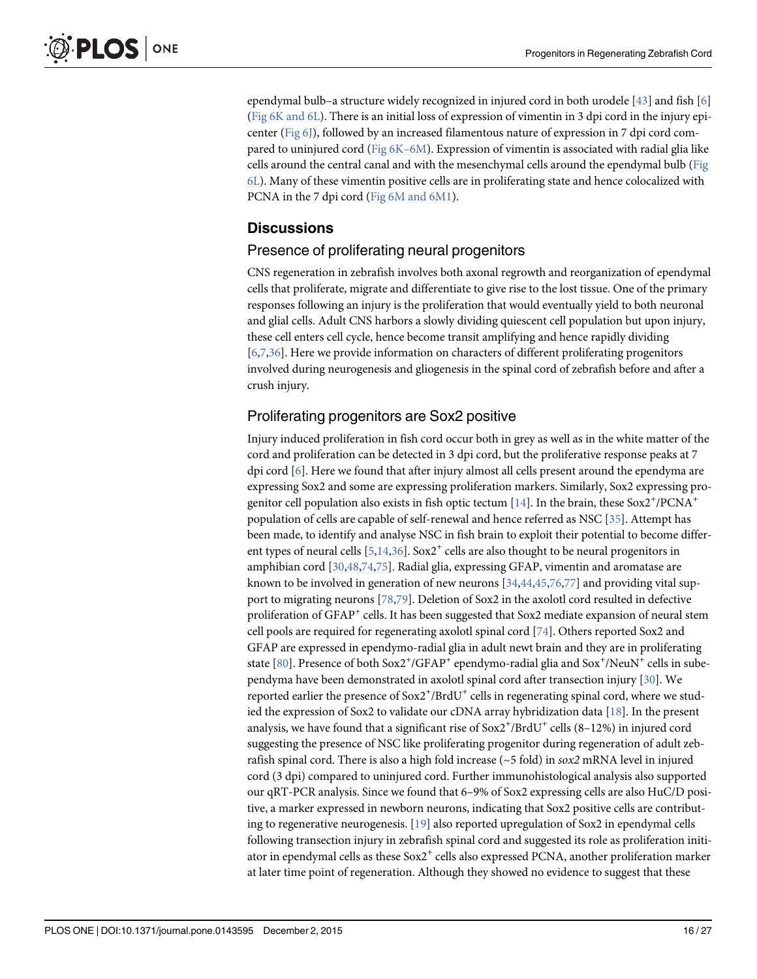ependymal bulb–a structure widely recognized in injured cord in both urodele [43] and fish [6] (Fig 6K and 6L). There is an initial loss of expression of vimentin in 3 dpi cord in the injury epicenter (Fig 6J), followed by an increased filamentous nature of expression in 7 dpi cord compared to uninjured cord (Fig 6K-6M). Expression of vimentin is associated with radial glia like cells around the central canal and with the mesenchymal cells around the ependymal bulb (Fig 6L). Many of these vimentin positive cells are in proliferating state and hence colocalized with PCNA in the 7 dpi cord (Fig 6M and 6M1).

#### **Discussions**

#### Presence of proliferating neural progenitors

CNS regeneration in zebrafish involves both axonal regrowth and reorganization of ependymal cells that proliferate, migrate and differentiate to give rise to the lost tissue. One of the primary responses following an injury is the proliferation that would eventually yield to both neuronal and glial cells. Adult CNS harbors a slowly dividing quiescent cell population but upon injury, these cell enters cell cycle, hence become transit amplifying and hence rapidly dividing [6,7,36]. Here we provide information on characters of different proliferating progenitors involved during neurogenesis and gliogenesis in the spinal cord of zebrafish before and after a crush injury.

#### Proliferating progenitors are Sox2 positive

Injury induced proliferation in fish cord occur both in grey as well as in the white matter of the cord and proliferation can be detected in 3 dpi cord, but the proliferative response peaks at 7 dpi cord [6]. Here we found that after injury almost all cells present around the ependyma are expressing Sox2 and some are expressing proliferation markers. Similarly, Sox2 expressing progenitor cell population also exists in fish optic tectum [14]. In the brain, these  $Sox2^{+}/\text{PCNA}^{+}$ population of cells are capable of self-renewal and hence referred as NSC [35]. Attempt has been made, to identify and analyse NSC in fish brain to exploit their potential to become different types of neural cells [5,14,36]. Sox2<sup>+</sup> cells are also thought to be neural progenitors in amphibian cord [30,48,74,75]. Radial glia, expressing GFAP, vimentin and aromatase are known to be involved in generation of new neurons  $[34,44,45,76,77]$  and providing vital support to migrating neurons [78,79]. Deletion of Sox2 in the axolotl cord resulted in defective proliferation of GFAP<sup>+</sup> cells. It has been suggested that Sox2 mediate expansion of neural stem cell pools are required for regenerating axolotl spinal cord  $[74]$ . Others reported Sox2 and GFAP are expressed in ependymo-radial glia in adult newt brain and they are in proliferating state [ $80$ ]. Presence of both Sox2<sup>+</sup>/GFAP<sup>+</sup> ependymo-radial glia and Sox<sup>+</sup>/NeuN<sup>+</sup> cells in subependyma have been demonstrated in axolotl spinal cord after transection injury [30]. We reported earlier the presence of  $Sox2^+$ /Brd $U^+$  cells in regenerating spinal cord, where we studied the expression of Sox2 to validate our cDNA array hybridization data [18]. In the present analysis, we have found that a significant rise of  $Sox2^+/BrdU^+$  cells  $(8-12\%)$  in injured cord suggesting the presence of NSC like proliferating progenitor during regeneration of adult zebrafish spinal cord. There is also a high fold increase ( $\sim$  5 fold) in sox2 mRNA level in injured cord (3 dpi) compared to uninjured cord. Further immunohistological analysis also supported our qRT-PCR analysis. Since we found that 6–9% of Sox2 expressing cells are also HuC/D positive, a marker expressed in newborn neurons, indicating that Sox2 positive cells are contributing to regenerative neurogenesis. [19] also reported upregulation of Sox2 in ependymal cells following transection injury in zebrafish spinal cord and suggested its role as proliferation initiator in ependymal cells as these  $Sox2^+$  cells also expressed PCNA, another proliferation marker at later time point of regeneration. Although they showed no evidence to suggest that these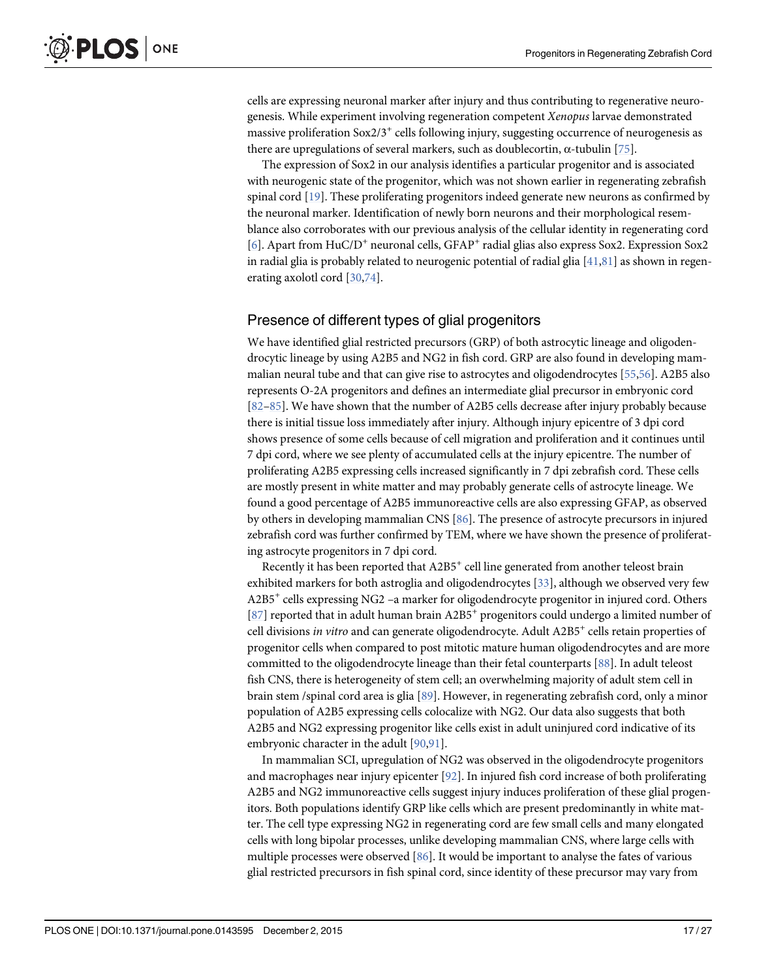cells are expressing neuronal marker after injury and thus contributing to regenerative neurogenesis. While experiment involving regeneration competent Xenopus larvae demonstrated massive proliferation Sox2/3<sup>+</sup> cells following injury, suggesting occurrence of neurogenesis as there are upregulations of several markers, such as doublecortin,  $\alpha$ -tubulin [75].

The expression of Sox2 in our analysis identifies a particular progenitor and is associated with neurogenic state of the progenitor, which was not shown earlier in regenerating zebrafish spinal cord [19]. These proliferating progenitors indeed generate new neurons as confirmed by the neuronal marker. Identification of newly born neurons and their morphological resemblance also corroborates with our previous analysis of the cellular identity in regenerating cord [6]. Apart from HuC/D<sup>+</sup> neuronal cells, GFAP<sup>+</sup> radial glias also express Sox2. Expression Sox2 in radial glia is probably related to neurogenic potential of radial glia [41,81] as shown in regenerating axolotl cord [30,74].

#### Presence of different types of glial progenitors

We have identified glial restricted precursors (GRP) of both astrocytic lineage and oligodendrocytic lineage by using A2B5 and NG2 in fish cord. GRP are also found in developing mammalian neural tube and that can give rise to astrocytes and oligodendrocytes [55,56]. A2B5 also represents O-2A progenitors and defines an intermediate glial precursor in embryonic cord [82–85]. We have shown that the number of A2B5 cells decrease after injury probably because there is initial tissue loss immediately after injury. Although injury epicentre of 3 dpi cord shows presence of some cells because of cell migration and proliferation and it continues until 7 dpi cord, where we see plenty of accumulated cells at the injury epicentre. The number of proliferating A2B5 expressing cells increased significantly in 7 dpi zebrafish cord. These cells are mostly present in white matter and may probably generate cells of astrocyte lineage. We found a good percentage of A2B5 immunoreactive cells are also expressing GFAP, as observed by others in developing mammalian CNS [86]. The presence of astrocyte precursors in injured zebrafish cord was further confirmed by TEM, where we have shown the presence of proliferating astrocyte progenitors in 7 dpi cord.

Recently it has been reported that  $A2B5^+$  cell line generated from another teleost brain exhibited markers for both astroglia and oligodendrocytes [33], although we observed very few A2B5<sup>+</sup> cells expressing NG2 -a marker for oligodendrocyte progenitor in injured cord. Others [87] reported that in adult human brain A2B5<sup>+</sup> progenitors could undergo a limited number of cell divisions in vitro and can generate oligodendrocyte. Adult A2B5<sup>+</sup> cells retain properties of progenitor cells when compared to post mitotic mature human oligodendrocytes and are more committed to the oligodendrocyte lineage than their fetal counterparts [88]. In adult teleost fish CNS, there is heterogeneity of stem cell; an overwhelming majority of adult stem cell in brain stem /spinal cord area is glia [89]. However, in regenerating zebrafish cord, only a minor population of A2B5 expressing cells colocalize with NG2. Our data also suggests that both A2B5 and NG2 expressing progenitor like cells exist in adult uninjured cord indicative of its embryonic character in the adult [90,91].

In mammalian SCI, upregulation of NG2 was observed in the oligodendrocyte progenitors and macrophages near injury epicenter [92]. In injured fish cord increase of both proliferating A2B5 and NG2 immunoreactive cells suggest injury induces proliferation of these glial progenitors. Both populations identify GRP like cells which are present predominantly in white matter. The cell type expressing NG2 in regenerating cord are few small cells and many elongated cells with long bipolar processes, unlike developing mammalian CNS, where large cells with multiple processes were observed [86]. It would be important to analyse the fates of various glial restricted precursors in fish spinal cord, since identity of these precursor may vary from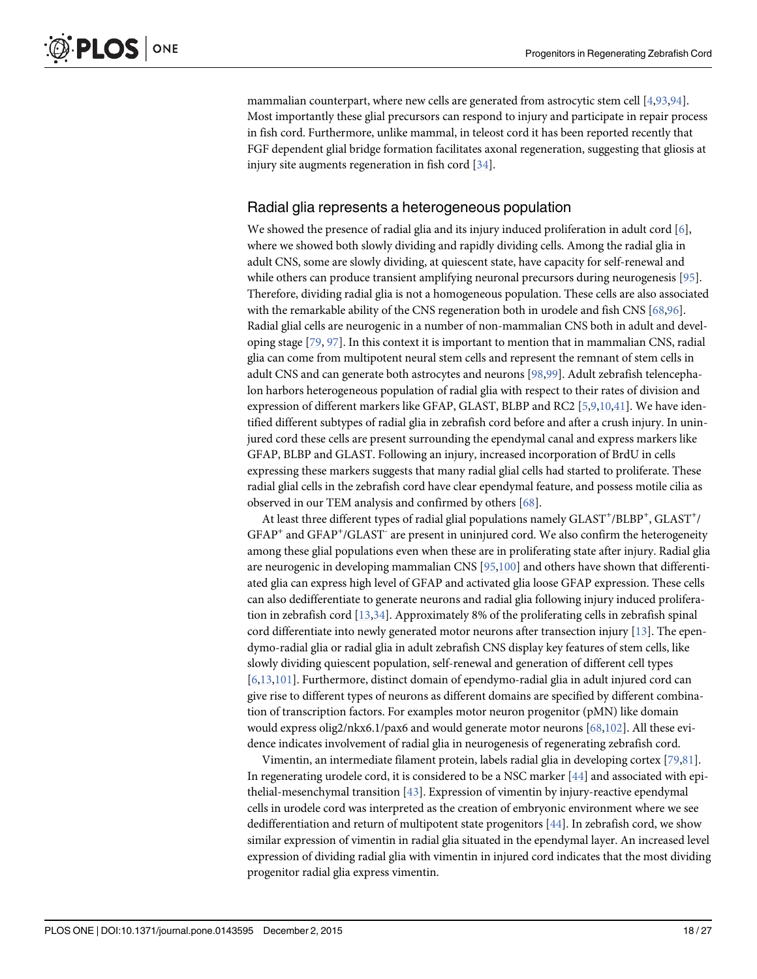mammalian counterpart, where new cells are generated from astrocytic stem cell [4,93,94]. Most importantly these glial precursors can respond to injury and participate in repair process in fish cord. Furthermore, unlike mammal, in teleost cord it has been reported recently that FGF dependent glial bridge formation facilitates axonal regeneration, suggesting that gliosis at injury site augments regeneration in fish cord [34].

#### Radial glia represents a heterogeneous population

We showed the presence of radial glia and its injury induced proliferation in adult cord [6], where we showed both slowly dividing and rapidly dividing cells. Among the radial glia in adult CNS, some are slowly dividing, at quiescent state, have capacity for self-renewal and while others can produce transient amplifying neuronal precursors during neurogenesis [95]. Therefore, dividing radial glia is not a homogeneous population. These cells are also associated with the remarkable ability of the CNS regeneration both in urodele and fish CNS [68,96]. Radial glial cells are neurogenic in a number of non-mammalian CNS both in adult and developing stage [79, 97]. In this context it is important to mention that in mammalian CNS, radial glia can come from multipotent neural stem cells and represent the remnant of stem cells in adult CNS and can generate both astrocytes and neurons [98,99]. Adult zebrafish telencephalon harbors heterogeneous population of radial glia with respect to their rates of division and expression of different markers like GFAP, GLAST, BLBP and RC2 [5,9,10,41]. We have identified different subtypes of radial glia in zebrafish cord before and after a crush injury. In uninjured cord these cells are present surrounding the ependymal canal and express markers like GFAP, BLBP and GLAST. Following an injury, increased incorporation of BrdU in cells expressing these markers suggests that many radial glial cells had started to proliferate. These radial glial cells in the zebrafish cord have clear ependymal feature, and possess motile cilia as observed in our TEM analysis and confirmed by others [68].

At least three different types of radial glial populations namely GLAST<sup>+</sup>/BLBP<sup>+</sup>, GLAST<sup>+</sup>/ GFAP<sup>+</sup> and GFAP<sup>+</sup>/GLAST<sup>-</sup> are present in uninjured cord. We also confirm the heterogeneity among these glial populations even when these are in proliferating state after injury. Radial glia are neurogenic in developing mammalian CNS [95,100] and others have shown that differentiated glia can express high level of GFAP and activated glia loose GFAP expression. These cells can also dedifferentiate to generate neurons and radial glia following injury induced proliferation in zebrafish cord [13,34]. Approximately 8% of the proliferating cells in zebrafish spinal cord differentiate into newly generated motor neurons after transection injury  $[13]$ . The ependymo-radial glia or radial glia in adult zebrafish CNS display key features of stem cells, like slowly dividing quiescent population, self-renewal and generation of different cell types [6,13,101]. Furthermore, distinct domain of ependymo-radial glia in adult injured cord can give rise to different types of neurons as different domains are specified by different combination of transcription factors. For examples motor neuron progenitor (pMN) like domain would express olig2/nkx6.1/pax6 and would generate motor neurons [68,102]. All these evidence indicates involvement of radial glia in neurogenesis of regenerating zebrafish cord.

Vimentin, an intermediate filament protein, labels radial glia in developing cortex [79,81]. In regenerating urodele cord, it is considered to be a NSC marker [44] and associated with epithelial-mesenchymal transition  $[43]$ . Expression of vimentin by injury-reactive ependymal cells in urodele cord was interpreted as the creation of embryonic environment where we see dedifferentiation and return of multipotent state progenitors [44]. In zebrafish cord, we show similar expression of vimentin in radial glia situated in the ependymal layer. An increased level expression of dividing radial glia with vimentin in injured cord indicates that the most dividing progenitor radial glia express vimentin.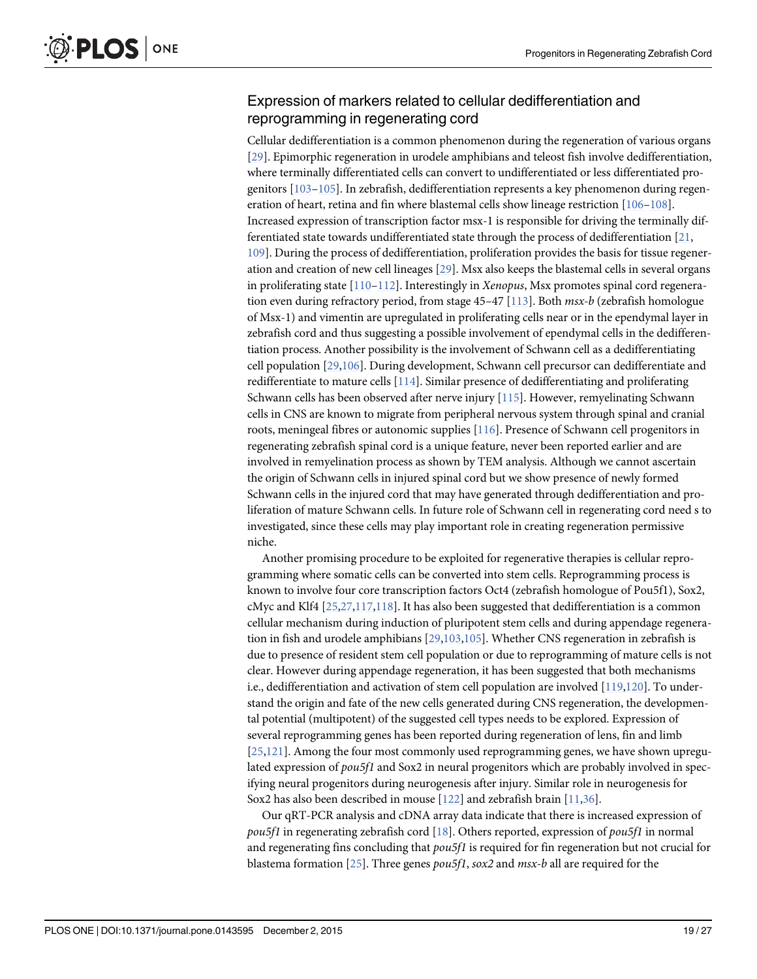#### Expression of markers related to cellular dedifferentiation and reprogramming in regenerating cord

Cellular dedifferentiation is a common phenomenon during the regeneration of various organs [29]. Epimorphic regeneration in urodele amphibians and teleost fish involve dedifferentiation, where terminally differentiated cells can convert to undifferentiated or less differentiated progenitors [103–105]. In zebrafish, dedifferentiation represents a key phenomenon during regeneration of heart, retina and fin where blastemal cells show lineage restriction [106–108]. Increased expression of transcription factor msx-1 is responsible for driving the terminally differentiated state towards undifferentiated state through the process of dedifferentiation [21, 109]. During the process of dedifferentiation, proliferation provides the basis for tissue regeneration and creation of new cell lineages [29]. Msx also keeps the blastemal cells in several organs in proliferating state  $[110-112]$ . Interestingly in *Xenopus*, Msx promotes spinal cord regeneration even during refractory period, from stage 45–47 [113]. Both  $msx-b$  (zebrafish homologue of Msx-1) and vimentin are upregulated in proliferating cells near or in the ependymal layer in zebrafish cord and thus suggesting a possible involvement of ependymal cells in the dedifferentiation process. Another possibility is the involvement of Schwann cell as a dedifferentiating cell population [29,106]. During development, Schwann cell precursor can dedifferentiate and redifferentiate to mature cells [114]. Similar presence of dedifferentiating and proliferating Schwann cells has been observed after nerve injury [115]. However, remyelinating Schwann cells in CNS are known to migrate from peripheral nervous system through spinal and cranial roots, meningeal fibres or autonomic supplies [116]. Presence of Schwann cell progenitors in regenerating zebrafish spinal cord is a unique feature, never been reported earlier and are involved in remyelination process as shown by TEM analysis. Although we cannot ascertain the origin of Schwann cells in injured spinal cord but we show presence of newly formed Schwann cells in the injured cord that may have generated through dedifferentiation and proliferation of mature Schwann cells. In future role of Schwann cell in regenerating cord need s to investigated, since these cells may play important role in creating regeneration permissive niche.

Another promising procedure to be exploited for regenerative therapies is cellular reprogramming where somatic cells can be converted into stem cells. Reprogramming process is known to involve four core transcription factors Oct4 (zebrafish homologue of Pou5f1), Sox2, cMyc and Klf4 [25,27,117,118]. It has also been suggested that dedifferentiation is a common cellular mechanism during induction of pluripotent stem cells and during appendage regeneration in fish and urodele amphibians [29,103,105]. Whether CNS regeneration in zebrafish is due to presence of resident stem cell population or due to reprogramming of mature cells is not clear. However during appendage regeneration, it has been suggested that both mechanisms i.e., dedifferentiation and activation of stem cell population are involved [119,120]. To understand the origin and fate of the new cells generated during CNS regeneration, the developmental potential (multipotent) of the suggested cell types needs to be explored. Expression of several reprogramming genes has been reported during regeneration of lens, fin and limb [25,121]. Among the four most commonly used reprogramming genes, we have shown upregulated expression of  $pousf1$  and Sox2 in neural progenitors which are probably involved in specifying neural progenitors during neurogenesis after injury. Similar role in neurogenesis for Sox2 has also been described in mouse  $[122]$  and zebrafish brain  $[11,36]$ .

Our qRT-PCR analysis and cDNA array data indicate that there is increased expression of *pou5f1* in regenerating zebrafish cord [18]. Others reported, expression of *pou5f1* in normal and regenerating fins concluding that  $pou5f1$  is required for fin regeneration but not crucial for blastema formation  $[25]$ . Three genes pou5f1, sox2 and msx-b all are required for the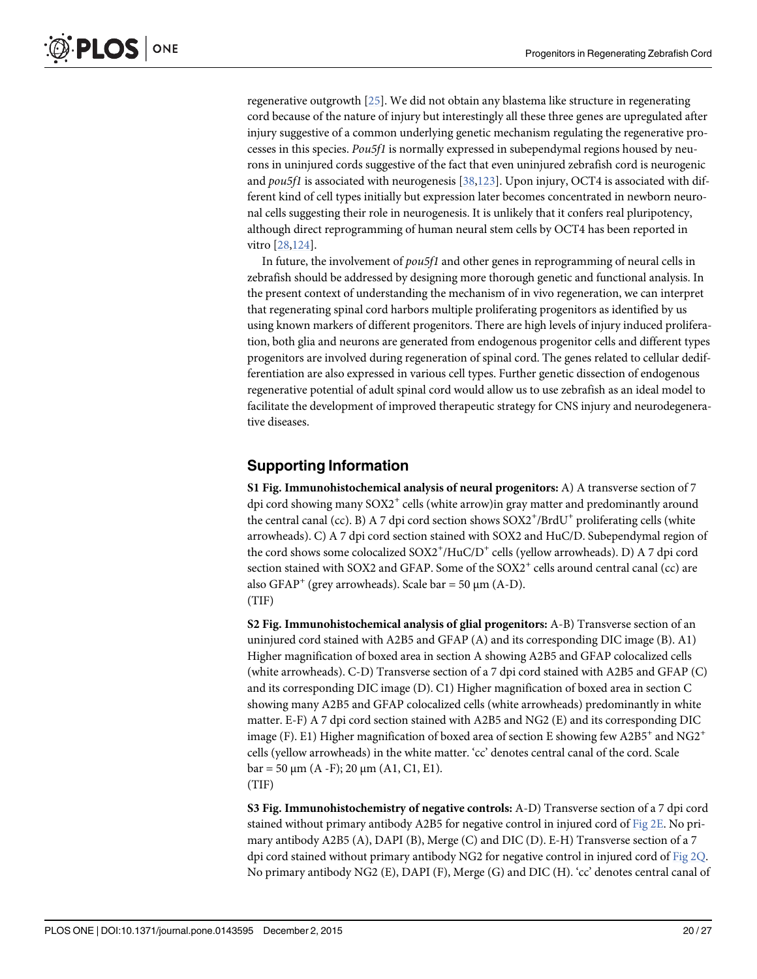regenerative outgrowth [25]. We did not obtain any blastema like structure in regenerating cord because of the nature of injury but interestingly all these three genes are upregulated after injury suggestive of a common underlying genetic mechanism regulating the regenerative processes in this species. Pou5f1 is normally expressed in subependymal regions housed by neurons in uninjured cords suggestive of the fact that even uninjured zebrafish cord is neurogenic and pou5f1 is associated with neurogenesis  $[38,123]$ . Upon injury, OCT4 is associated with different kind of cell types initially but expression later becomes concentrated in newborn neuronal cells suggesting their role in neurogenesis. It is unlikely that it confers real pluripotency, although direct reprogramming of human neural stem cells by OCT4 has been reported in vitro [28,124].

In future, the involvement of *pou5f1* and other genes in reprogramming of neural cells in zebrafish should be addressed by designing more thorough genetic and functional analysis. In the present context of understanding the mechanism of in vivo regeneration, we can interpret that regenerating spinal cord harbors multiple proliferating progenitors as identified by us using known markers of different progenitors. There are high levels of injury induced proliferation, both glia and neurons are generated from endogenous progenitor cells and different types progenitors are involved during regeneration of spinal cord. The genes related to cellular dedifferentiation are also expressed in various cell types. Further genetic dissection of endogenous regenerative potential of adult spinal cord would allow us to use zebrafish as an ideal model to facilitate the development of improved therapeutic strategy for CNS injury and neurodegenerative diseases.

#### Supporting Information

S1 Fig. Immunohistochemical analysis of neural progenitors: A) A transverse section of 7 dpi cord showing many  $\text{SOX2}^+$  cells (white arrow)in gray matter and predominantly around the central canal (cc). B) A 7 dpi cord section shows  $SOX<sup>+</sup>/BrdU<sup>+</sup>$  proliferating cells (white arrowheads). C) A 7 dpi cord section stained with SOX2 and HuC/D. Subependymal region of the cord shows some colocalized  $SOX2^+/HuC/D^+$  cells (yellow arrowheads). D) A 7 dpi cord section stained with SOX2 and GFAP. Some of the SOX2<sup>+</sup> cells around central canal (cc) are also GFAP<sup>+</sup> (grey arrowheads). Scale bar = 50 μm (A-D). (TIF)

S2 Fig. Immunohistochemical analysis of glial progenitors: A-B) Transverse section of an uninjured cord stained with A2B5 and GFAP (A) and its corresponding DIC image (B). A1) Higher magnification of boxed area in section A showing A2B5 and GFAP colocalized cells (white arrowheads). C-D) Transverse section of a 7 dpi cord stained with A2B5 and GFAP (C) and its corresponding DIC image (D). C1) Higher magnification of boxed area in section C showing many A2B5 and GFAP colocalized cells (white arrowheads) predominantly in white matter. E-F) A 7 dpi cord section stained with A2B5 and NG2 (E) and its corresponding DIC image (F). E1) Higher magnification of boxed area of section E showing few A2B5<sup>+</sup> and NG2<sup>+</sup> cells (yellow arrowheads) in the white matter. 'cc' denotes central canal of the cord. Scale  $bar = 50 \mu m (A - F)$ ; 20  $\mu m (A1, C1, E1)$ . (TIF)

S3 Fig. Immunohistochemistry of negative controls: A-D) Transverse section of a 7 dpi cord stained without primary antibody A2B5 for negative control in injured cord of Fig 2E. No primary antibody A2B5 (A), DAPI (B), Merge (C) and DIC (D). E-H) Transverse section of a 7 dpi cord stained without primary antibody NG2 for negative control in injured cord of Fig 2Q. No primary antibody NG2 (E), DAPI (F), Merge (G) and DIC (H). 'cc' denotes central canal of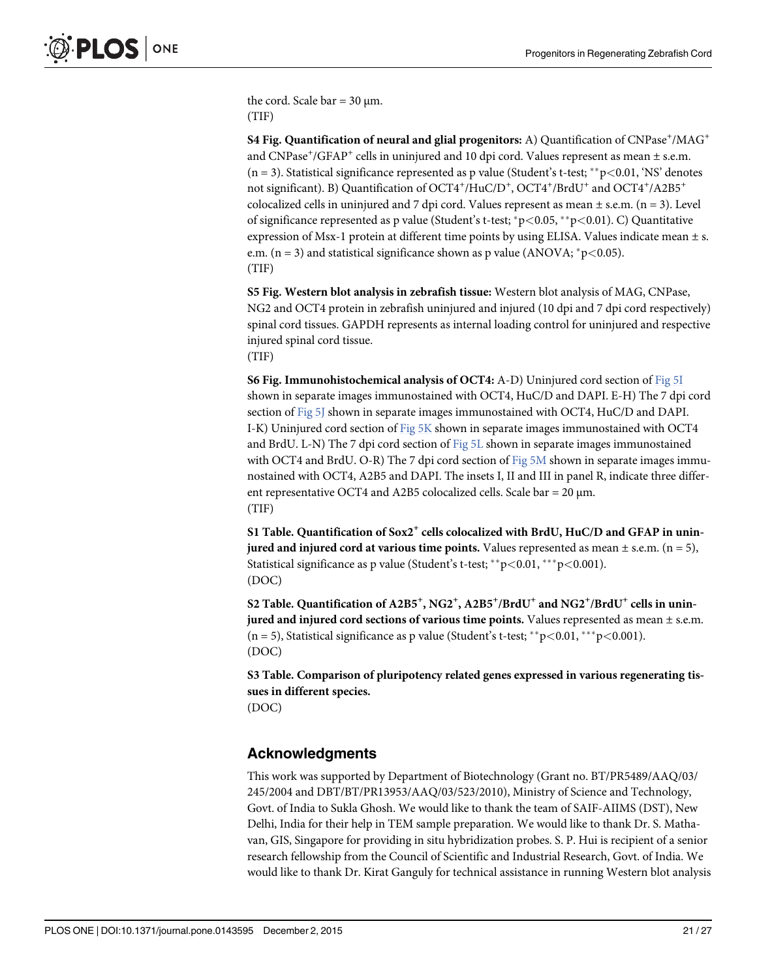the cord. Scale bar =  $30 \mu m$ . (TIF)

S4 Fig. Quantification of neural and glial progenitors: A) Quantification of  $\mathsf{CNPase}^+ \mathsf{/MAG}^+$ and CNPase<sup>+</sup>/GFAP<sup>+</sup> cells in uninjured and 10 dpi cord. Values represent as mean ± s.e.m.  $(n = 3)$ . Statistical significance represented as p value (Student's t-test; \*\*p<0.01, 'NS' denotes not significant). B) Quantification of OCT4<sup>+</sup>/HuC/D<sup>+</sup>, OCT4<sup>+</sup>/BrdU<sup>+</sup> and OCT4<sup>+</sup>/A2B5<sup>+</sup> colocalized cells in uninjured and 7 dpi cord. Values represent as mean  $\pm$  s.e.m. (n = 3). Level of significance represented as p value (Student's t-test;  $\frac{*}{P}$  < 0.05,  $\frac{*}{P}$  < 0.01). C) Quantitative expression of Msx-1 protein at different time points by using ELISA. Values indicate mean ± s. e.m. (n = 3) and statistical significance shown as p value (ANOVA;  $p$   $<$  0.05). (TIF)

S5 Fig. Western blot analysis in zebrafish tissue: Western blot analysis of MAG, CNPase, NG2 and OCT4 protein in zebrafish uninjured and injured (10 dpi and 7 dpi cord respectively) spinal cord tissues. GAPDH represents as internal loading control for uninjured and respective injured spinal cord tissue.

(TIF)

S6 Fig. Immunohistochemical analysis of OCT4: A-D) Uninjured cord section of Fig 5I shown in separate images immunostained with OCT4, HuC/D and DAPI. E-H) The 7 dpi cord section of Fig 5J shown in separate images immunostained with OCT4, HuC/D and DAPI. I-K) Uninjured cord section of Fig 5K shown in separate images immunostained with OCT4 and BrdU. L-N) The 7 dpi cord section of Fig 5L shown in separate images immunostained with OCT4 and BrdU. O-R) The 7 dpi cord section of Fig 5M shown in separate images immunostained with OCT4, A2B5 and DAPI. The insets I, II and III in panel R, indicate three different representative OCT4 and A2B5 colocalized cells. Scale bar = 20 μm. (TIF)

S1 Table. Quantification of Sox2<sup>+</sup> cells colocalized with BrdU, HuC/D and GFAP in uninjured and injured cord at various time points. Values represented as mean  $\pm$  s.e.m. (n = 5), Statistical significance as p value (Student's t-test; \*\*p<0.01, \*\*\*p<0.001). (DOC)

S2 Table. Quantification of A2B5<sup>+</sup>, NG2<sup>+</sup>, A2B5<sup>+</sup>/BrdU<sup>+</sup> and NG2<sup>+</sup>/BrdU<sup>+</sup> cells in uninjured and injured cord sections of various time points. Values represented as mean  $\pm$  s.e.m.  $(n = 5)$ , Statistical significance as p value (Student's t-test; \*\*p<0.01, \*\*\*p<0.001). (DOC)

S3 Table. Comparison of pluripotency related genes expressed in various regenerating tissues in different species. (DOC)

#### Acknowledgments

This work was supported by Department of Biotechnology (Grant no. BT/PR5489/AAQ/03/ 245/2004 and DBT/BT/PR13953/AAQ/03/523/2010), Ministry of Science and Technology, Govt. of India to Sukla Ghosh. We would like to thank the team of SAIF-AIIMS (DST), New Delhi, India for their help in TEM sample preparation. We would like to thank Dr. S. Mathavan, GIS, Singapore for providing in situ hybridization probes. S. P. Hui is recipient of a senior research fellowship from the Council of Scientific and Industrial Research, Govt. of India. We would like to thank Dr. Kirat Ganguly for technical assistance in running Western blot analysis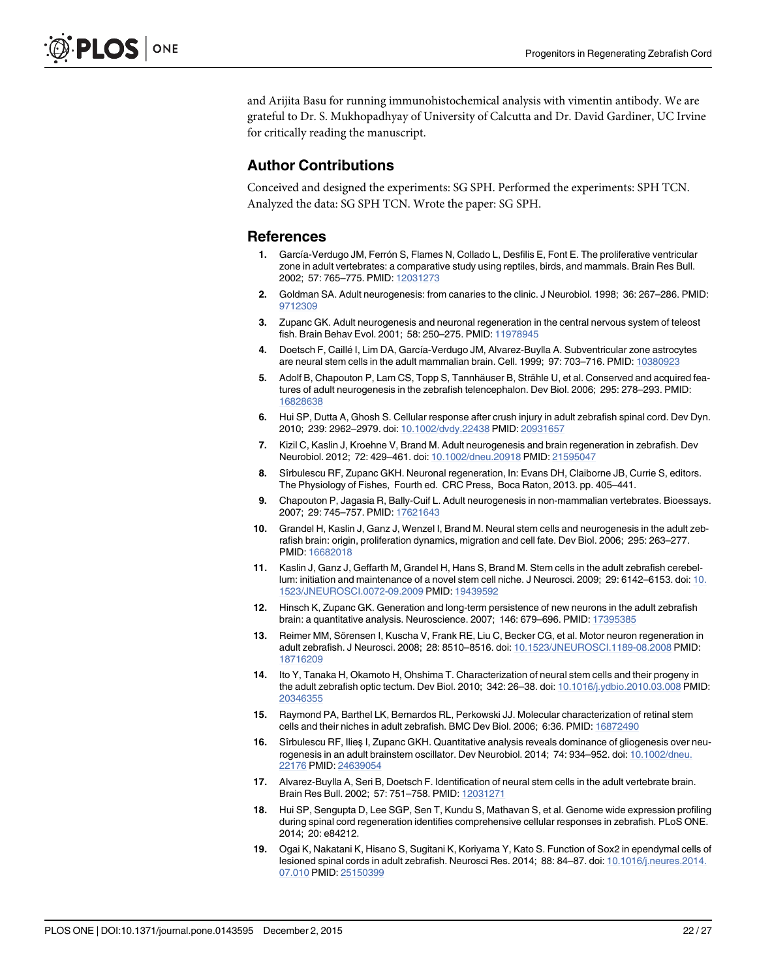and Arijita Basu for running immunohistochemical analysis with vimentin antibody. We are grateful to Dr. S. Mukhopadhyay of University of Calcutta and Dr. David Gardiner, UC Irvine for critically reading the manuscript.

#### Author Contributions

Conceived and designed the experiments: SG SPH. Performed the experiments: SPH TCN. Analyzed the data: SG SPH TCN. Wrote the paper: SG SPH.

#### References

- 1. García-Verdugo JM, Ferrón S, Flames N, Collado L, Desfilis E, Font E. The proliferative ventricular zone in adult vertebrates: a comparative study using reptiles, birds, and mammals. Brain Res Bull. 2002; 57: 765–775. PMID: 12031273
- 2. Goldman SA. Adult neurogenesis: from canaries to the clinic. J Neurobiol. 1998; 36: 267–286. PMID: 9712309
- 3. Zupanc GK. Adult neurogenesis and neuronal regeneration in the central nervous system of teleost fish. Brain Behav Evol. 2001; 58: 250-275. PMID: 11978945
- 4. Doetsch F, Caillé I, Lim DA, García-Verdugo JM, Alvarez-Buylla A. Subventricular zone astrocytes are neural stem cells in the adult mammalian brain. Cell. 1999; 97: 703–716. PMID: 10380923
- 5. Adolf B, Chapouton P, Lam CS, Topp S, Tannhäuser B, Strähle U, et al. Conserved and acquired features of adult neurogenesis in the zebrafish telencephalon. Dev Biol. 2006; 295: 278–293. PMID: 16828638
- 6. Hui SP, Dutta A, Ghosh S. Cellular response after crush injury in adult zebrafish spinal cord. Dev Dyn. 2010; 239: 2962–2979. doi: 10.1002/dvdy.22438 PMID: 20931657
- 7. Kizil C, Kaslin J, Kroehne V, Brand M. Adult neurogenesis and brain regeneration in zebrafish. Dev Neurobiol. 2012; 72: 429–461. doi: 10.1002/dneu.20918 PMID: 21595047
- 8. Sîrbulescu RF, Zupanc GKH. Neuronal regeneration, In: Evans DH, Claiborne JB, Currie S, editors. The Physiology of Fishes, Fourth ed. CRC Press, Boca Raton, 2013. pp. 405–441.
- 9. Chapouton P, Jagasia R, Bally-Cuif L. Adult neurogenesis in non-mammalian vertebrates. Bioessays. 2007; 29: 745–757. PMID: 17621643
- 10. Grandel H, Kaslin J, Ganz J, Wenzel I, Brand M. Neural stem cells and neurogenesis in the adult zebrafish brain: origin, proliferation dynamics, migration and cell fate. Dev Biol. 2006; 295: 263–277. PMID: 16682018
- 11. Kaslin J, Ganz J, Geffarth M, Grandel H, Hans S, Brand M. Stem cells in the adult zebrafish cerebellum: initiation and maintenance of a novel stem cell niche. J Neurosci. 2009; 29: 6142–6153. doi: 10. 1523/JNEUROSCI.0072-09.2009 PMID: 19439592
- 12. Hinsch K, Zupanc GK. Generation and long-term persistence of new neurons in the adult zebrafish brain: a quantitative analysis. Neuroscience. 2007; 146: 679-696. PMID: 17395385
- 13. Reimer MM, Sörensen I, Kuscha V, Frank RE, Liu C, Becker CG, et al. Motor neuron regeneration in adult zebrafish. J Neurosci. 2008; 28: 8510–8516. doi: 10.1523/JNEUROSCI.1189-08.2008 PMID: 18716209
- 14. Ito Y, Tanaka H, Okamoto H, Ohshima T. Characterization of neural stem cells and their progeny in the adult zebrafish optic tectum. Dev Biol. 2010; 342: 26–38. doi: 10.1016/j.ydbio.2010.03.008 PMID: 20346355
- 15. Raymond PA, Barthel LK, Bernardos RL, Perkowski JJ. Molecular characterization of retinal stem cells and their niches in adult zebrafish. BMC Dev Biol. 2006; 6:36. PMID: 16872490
- 16. Sîrbulescu RF, Ilieş I, Zupanc GKH. Quantitative analysis reveals dominance of gliogenesis over neurogenesis in an adult brainstem oscillator. Dev Neurobiol. 2014; 74: 934–952. doi: 10.1002/dneu. 22176 PMID: 24639054
- 17. Alvarez-Buylla A, Seri B, Doetsch F. Identification of neural stem cells in the adult vertebrate brain. Brain Res Bull. 2002; 57: 751–758. PMID: 12031271
- 18. Hui SP, Sengupta D, Lee SGP, Sen T, Kundu S, Mathavan S, et al. Genome wide expression profiling during spinal cord regeneration identifies comprehensive cellular responses in zebrafish. PLoS ONE. 2014; 20: e84212.
- 19. Ogai K, Nakatani K, Hisano S, Sugitani K, Koriyama Y, Kato S. Function of Sox2 in ependymal cells of lesioned spinal cords in adult zebrafish. Neurosci Res. 2014; 88: 84–87. doi: 10.1016/j.neures.2014. 07.010 PMID: 25150399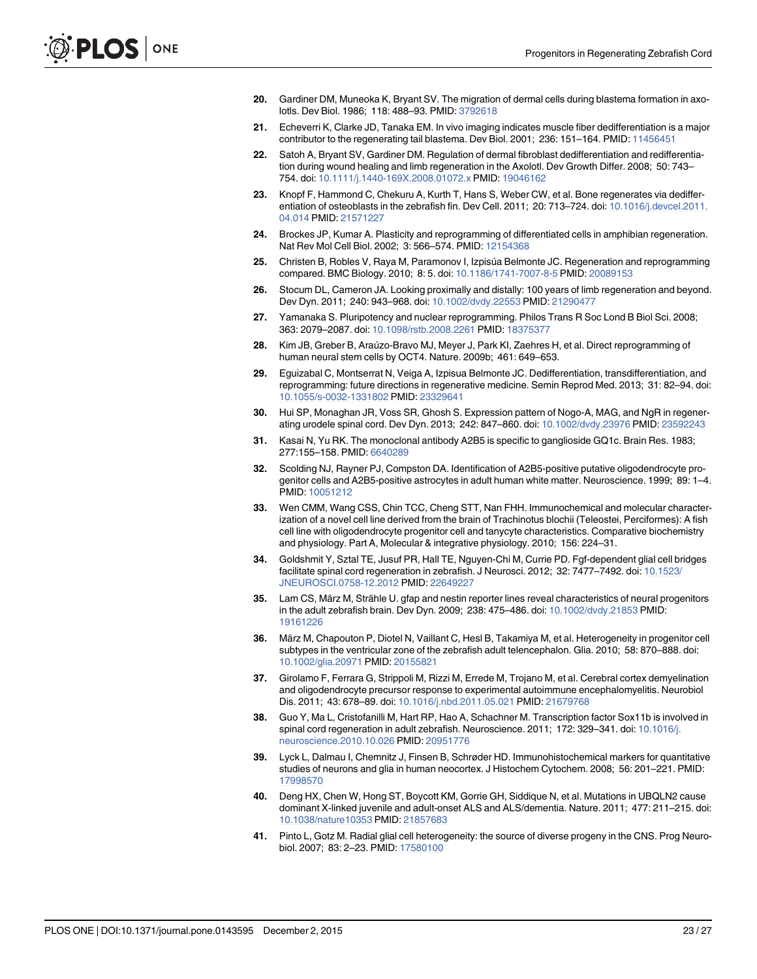- 20. Gardiner DM, Muneoka K, Bryant SV. The migration of dermal cells during blastema formation in axolotls. Dev Biol. 1986; 118: 488–93. PMID: 3792618
- 21. Echeverri K, Clarke JD, Tanaka EM. In vivo imaging indicates muscle fiber dedifferentiation is a major contributor to the regenerating tail blastema. Dev Biol. 2001; 236: 151–164. PMID: 11456451
- 22. Satoh A, Bryant SV, Gardiner DM. Regulation of dermal fibroblast dedifferentiation and redifferentiation during wound healing and limb regeneration in the Axolotl. Dev Growth Differ. 2008; 50: 743– 754. doi: 10.1111/j.1440-169X.2008.01072.x PMID: 19046162
- 23. Knopf F, Hammond C, Chekuru A, Kurth T, Hans S, Weber CW, et al. Bone regenerates via dedifferentiation of osteoblasts in the zebrafish fin. Dev Cell. 2011; 20: 713–724. doi: 10.1016/j.devcel.2011. 04.014 PMID: 21571227
- 24. Brockes JP, Kumar A. Plasticity and reprogramming of differentiated cells in amphibian regeneration. Nat Rev Mol Cell Biol. 2002; 3: 566–574. PMID: 12154368
- 25. Christen B, Robles V, Raya M, Paramonov I, Izpisúa Belmonte JC. Regeneration and reprogramming compared. BMC Biology. 2010; 8: 5. doi: 10.1186/1741-7007-8-5 PMID: 20089153
- 26. Stocum DL, Cameron JA. Looking proximally and distally: 100 years of limb regeneration and beyond. Dev Dyn. 2011; 240: 943–968. doi: 10.1002/dvdy.22553 PMID: 21290477
- 27. Yamanaka S. Pluripotency and nuclear reprogramming. Philos Trans R Soc Lond B Biol Sci. 2008; 363: 2079–2087. doi: 10.1098/rstb.2008.2261 PMID: 18375377
- 28. Kim JB, Greber B, Araúzo-Bravo MJ, Meyer J, Park KI, Zaehres H, et al. Direct reprogramming of human neural stem cells by OCT4. Nature. 2009b; 461: 649–653.
- 29. Eguizabal C, Montserrat N, Veiga A, Izpisua Belmonte JC. Dedifferentiation, transdifferentiation, and reprogramming: future directions in regenerative medicine. Semin Reprod Med. 2013; 31: 82–94. doi: 10.1055/s-0032-1331802 PMID: 23329641
- 30. Hui SP, Monaghan JR, Voss SR, Ghosh S. Expression pattern of Nogo-A, MAG, and NgR in regenerating urodele spinal cord. Dev Dyn. 2013; 242: 847–860. doi: 10.1002/dvdy.23976 PMID: 23592243
- 31. Kasai N, Yu RK. The monoclonal antibody A2B5 is specific to ganglioside GQ1c. Brain Res. 1983; 277:155–158. PMID: 6640289
- 32. Scolding NJ, Rayner PJ, Compston DA. Identification of A2B5-positive putative oligodendrocyte progenitor cells and A2B5-positive astrocytes in adult human white matter. Neuroscience. 1999; 89: 1–4. PMID: 10051212
- 33. Wen CMM, Wang CSS, Chin TCC, Cheng STT, Nan FHH. Immunochemical and molecular characterization of a novel cell line derived from the brain of Trachinotus blochii (Teleostei, Perciformes): A fish cell line with oligodendrocyte progenitor cell and tanycyte characteristics. Comparative biochemistry and physiology. Part A, Molecular & integrative physiology. 2010; 156: 224–31.
- 34. Goldshmit Y, Sztal TE, Jusuf PR, Hall TE, Nguyen-Chi M, Currie PD. Fgf-dependent glial cell bridges facilitate spinal cord regeneration in zebrafish. J Neurosci. 2012; 32: 7477–7492. doi: 10.1523/ JNEUROSCI.0758-12.2012 PMID: 22649227
- 35. Lam CS, März M, Strähle U. gfap and nestin reporter lines reveal characteristics of neural progenitors in the adult zebrafish brain. Dev Dyn. 2009; 238: 475–486. doi: 10.1002/dvdy.21853 PMID: 19161226
- 36. März M, Chapouton P, Diotel N, Vaillant C, Hesl B, Takamiya M, et al. Heterogeneity in progenitor cell subtypes in the ventricular zone of the zebrafish adult telencephalon. Glia. 2010; 58: 870–888. doi: 10.1002/glia.20971 PMID: 20155821
- 37. Girolamo F, Ferrara G, Strippoli M, Rizzi M, Errede M, Trojano M, et al. Cerebral cortex demyelination and oligodendrocyte precursor response to experimental autoimmune encephalomyelitis. Neurobiol Dis. 2011; 43: 678–89. doi: 10.1016/j.nbd.2011.05.021 PMID: 21679768
- 38. Guo Y, Ma L, Cristofanilli M, Hart RP, Hao A, Schachner M. Transcription factor Sox11b is involved in spinal cord regeneration in adult zebrafish. Neuroscience. 2011; 172: 329-341. doi: 10.1016/j. neuroscience.2010.10.026 PMID: 20951776
- 39. Lyck L, Dalmau I, Chemnitz J, Finsen B, Schrøder HD. Immunohistochemical markers for quantitative studies of neurons and glia in human neocortex. J Histochem Cytochem. 2008; 56: 201–221. PMID: 17998570
- 40. Deng HX, Chen W, Hong ST, Boycott KM, Gorrie GH, Siddique N, et al. Mutations in UBQLN2 cause dominant X-linked juvenile and adult-onset ALS and ALS/dementia. Nature. 2011; 477: 211–215. doi: 10.1038/nature10353 PMID: 21857683
- 41. Pinto L, Gotz M. Radial glial cell heterogeneity: the source of diverse progeny in the CNS. Prog Neurobiol. 2007; 83: 2–23. PMID: 17580100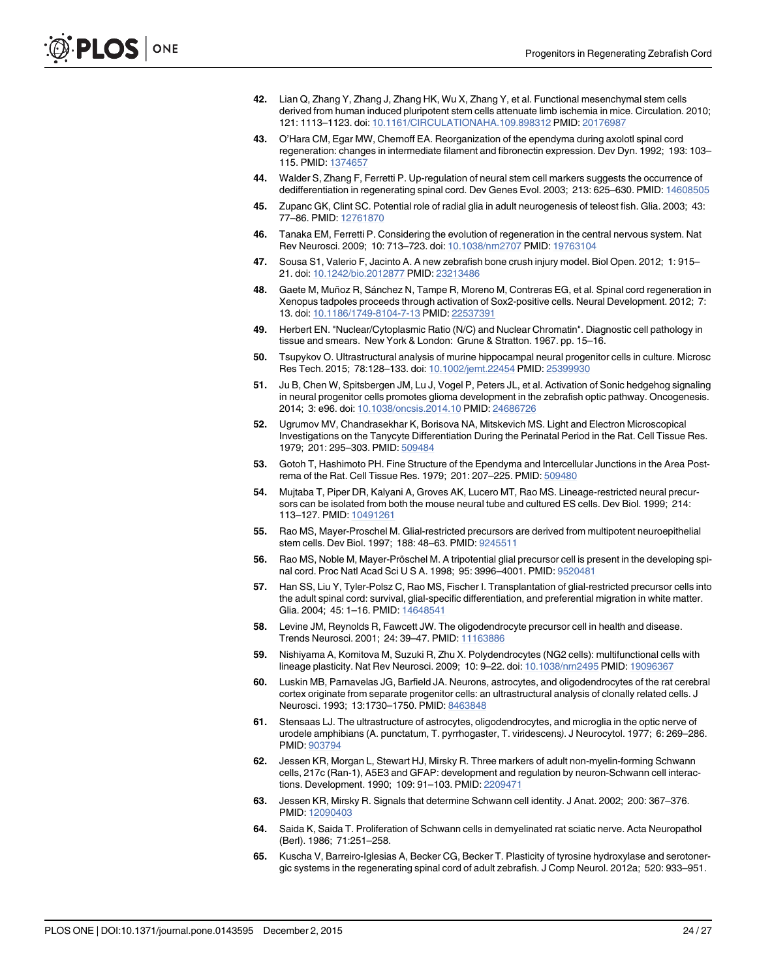- 42. Lian Q, Zhang Y, Zhang J, Zhang HK, Wu X, Zhang Y, et al. Functional mesenchymal stem cells derived from human induced pluripotent stem cells attenuate limb ischemia in mice. Circulation. 2010; 121: 1113–1123. doi: 10.1161/CIRCULATIONAHA.109.898312 PMID: 20176987
- 43. O'Hara CM, Egar MW, Chernoff EA. Reorganization of the ependyma during axolotl spinal cord regeneration: changes in intermediate filament and fibronectin expression. Dev Dyn. 1992; 193: 103– 115. PMID: 1374657
- 44. Walder S, Zhang F, Ferretti P. Up-regulation of neural stem cell markers suggests the occurrence of dedifferentiation in regenerating spinal cord. Dev Genes Evol. 2003; 213: 625–630. PMID: 14608505
- 45. Zupanc GK, Clint SC. Potential role of radial glia in adult neurogenesis of teleost fish. Glia. 2003; 43: 77–86. PMID: 12761870
- 46. Tanaka EM, Ferretti P. Considering the evolution of regeneration in the central nervous system. Nat Rev Neurosci. 2009; 10: 713–723. doi: 10.1038/nrn2707 PMID: 19763104
- 47. Sousa S1, Valerio F, Jacinto A. A new zebrafish bone crush injury model. Biol Open. 2012; 1: 915– 21. doi: 10.1242/bio.2012877 PMID: 23213486
- 48. Gaete M, Muñoz R, Sánchez N, Tampe R, Moreno M, Contreras EG, et al. Spinal cord regeneration in Xenopus tadpoles proceeds through activation of Sox2-positive cells. Neural Development. 2012; 7: 13. doi: 10.1186/1749-8104-7-13 PMID: 22537391
- 49. Herbert EN. "Nuclear/Cytoplasmic Ratio (N/C) and Nuclear Chromatin". Diagnostic cell pathology in tissue and smears. New York & London: Grune & Stratton. 1967. pp. 15–16.
- 50. Tsupykov O. Ultrastructural analysis of murine hippocampal neural progenitor cells in culture. Microsc Res Tech. 2015; 78:128–133. doi: 10.1002/jemt.22454 PMID: 25399930
- 51. Ju B, Chen W, Spitsbergen JM, Lu J, Vogel P, Peters JL, et al. Activation of Sonic hedgehog signaling in neural progenitor cells promotes glioma development in the zebrafish optic pathway. Oncogenesis. 2014; 3: e96. doi: 10.1038/oncsis.2014.10 PMID: 24686726
- 52. Ugrumov MV, Chandrasekhar K, Borisova NA, Mitskevich MS. Light and Electron Microscopical Investigations on the Tanycyte Differentiation During the Perinatal Period in the Rat. Cell Tissue Res. 1979; 201: 295–303. PMID: 509484
- 53. Gotoh T, Hashimoto PH. Fine Structure of the Ependyma and Intercellular Junctions in the Area Postrema of the Rat. Cell Tissue Res. 1979; 201: 207–225. PMID: 509480
- 54. Mujtaba T, Piper DR, Kalyani A, Groves AK, Lucero MT, Rao MS. Lineage-restricted neural precursors can be isolated from both the mouse neural tube and cultured ES cells. Dev Biol. 1999; 214: 113–127. PMID: 10491261
- 55. Rao MS, Mayer-Proschel M. Glial-restricted precursors are derived from multipotent neuroepithelial stem cells. Dev Biol. 1997; 188: 48–63. PMID: 9245511
- 56. Rao MS, Noble M, Mayer-Pröschel M. A tripotential glial precursor cell is present in the developing spinal cord. Proc Natl Acad Sci U S A. 1998; 95: 3996–4001. PMID: 9520481
- 57. Han SS, Liu Y, Tyler-Polsz C, Rao MS, Fischer I. Transplantation of glial-restricted precursor cells into the adult spinal cord: survival, glial-specific differentiation, and preferential migration in white matter. Glia. 2004; 45: 1–16. PMID: 14648541
- 58. Levine JM, Reynolds R, Fawcett JW. The oligodendrocyte precursor cell in health and disease. Trends Neurosci. 2001; 24: 39–47. PMID: 11163886
- 59. Nishiyama A, Komitova M, Suzuki R, Zhu X. Polydendrocytes (NG2 cells): multifunctional cells with lineage plasticity. Nat Rev Neurosci. 2009; 10: 9–22. doi: 10.1038/nrn2495 PMID: 19096367
- 60. Luskin MB, Parnavelas JG, Barfield JA. Neurons, astrocytes, and oligodendrocytes of the rat cerebral cortex originate from separate progenitor cells: an ultrastructural analysis of clonally related cells. J Neurosci. 1993; 13:1730–1750. PMID: 8463848
- 61. Stensaas LJ. The ultrastructure of astrocytes, oligodendrocytes, and microglia in the optic nerve of urodele amphibians (A. punctatum, T. pyrrhogaster, T. viridescens). J Neurocytol. 1977; 6: 269–286. PMID: 903794
- 62. Jessen KR, Morgan L, Stewart HJ, Mirsky R. Three markers of adult non-myelin-forming Schwann cells, 217c (Ran-1), A5E3 and GFAP: development and regulation by neuron-Schwann cell interactions. Development. 1990; 109: 91–103. PMID: 2209471
- 63. Jessen KR, Mirsky R. Signals that determine Schwann cell identity. J Anat. 2002; 200: 367–376. PMID: 12090403
- 64. Saida K, Saida T. Proliferation of Schwann cells in demyelinated rat sciatic nerve. Acta Neuropathol (Berl). 1986; 71:251–258.
- 65. Kuscha V, Barreiro-Iglesias A, Becker CG, Becker T. Plasticity of tyrosine hydroxylase and serotonergic systems in the regenerating spinal cord of adult zebrafish. J Comp Neurol. 2012a; 520: 933–951.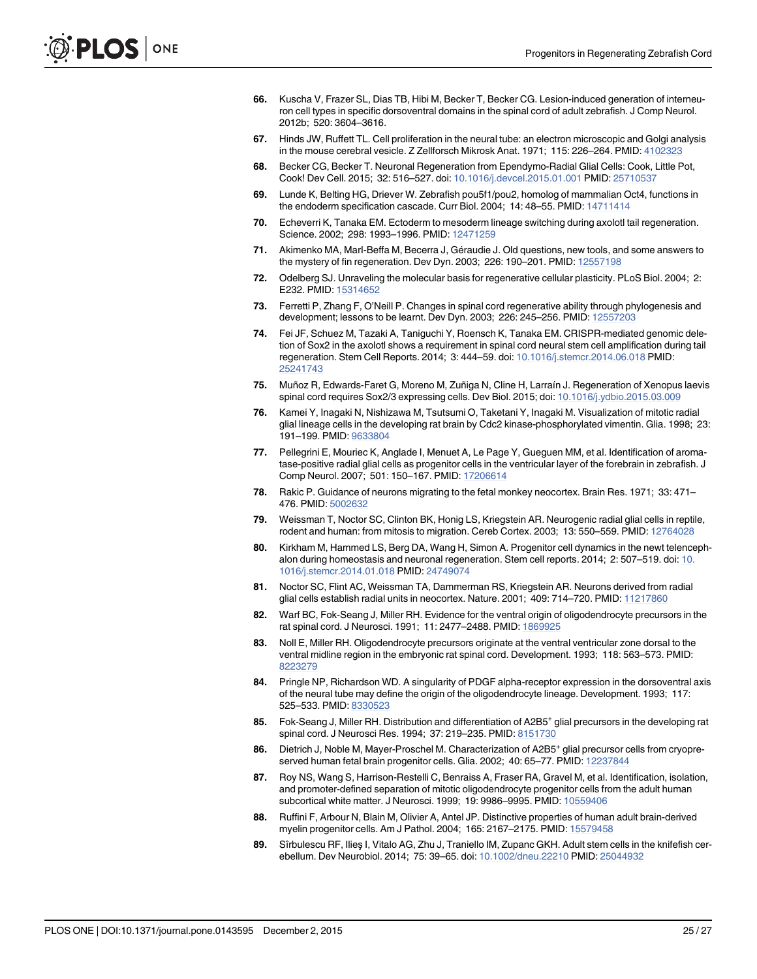- 66. Kuscha V, Frazer SL, Dias TB, Hibi M, Becker T, Becker CG. Lesion-induced generation of interneuron cell types in specific dorsoventral domains in the spinal cord of adult zebrafish. J Comp Neurol. 2012b; 520: 3604–3616.
- 67. Hinds JW, Ruffett TL. Cell proliferation in the neural tube: an electron microscopic and Golgi analysis in the mouse cerebral vesicle. Z Zellforsch Mikrosk Anat. 1971; 115: 226–264. PMID: 4102323
- 68. Becker CG, Becker T. Neuronal Regeneration from Ependymo-Radial Glial Cells: Cook, Little Pot, Cook! Dev Cell. 2015; 32: 516–527. doi: 10.1016/j.devcel.2015.01.001 PMID: 25710537
- 69. Lunde K, Belting HG, Driever W. Zebrafish pou5f1/pou2, homolog of mammalian Oct4, functions in the endoderm specification cascade. Curr Biol. 2004; 14: 48–55. PMID: 14711414
- 70. Echeverri K, Tanaka EM. Ectoderm to mesoderm lineage switching during axolotl tail regeneration. Science. 2002; 298: 1993–1996. PMID: 12471259
- 71. Akimenko MA, MarI-Beffa M, Becerra J, Géraudie J. Old questions, new tools, and some answers to the mystery of fin regeneration. Dev Dyn. 2003; 226: 190–201. PMID: 12557198
- 72. Odelberg SJ. Unraveling the molecular basis for regenerative cellular plasticity. PLoS Biol. 2004; 2: E232. PMID: 15314652
- 73. Ferretti P, Zhang F, O'Neill P. Changes in spinal cord regenerative ability through phylogenesis and development; lessons to be learnt. Dev Dyn. 2003; 226: 245–256. PMID: 12557203
- 74. Fei JF, Schuez M, Tazaki A, Taniguchi Y, Roensch K, Tanaka EM. CRISPR-mediated genomic deletion of Sox2 in the axolotl shows a requirement in spinal cord neural stem cell amplification during tail regeneration. Stem Cell Reports. 2014; 3: 444–59. doi: 10.1016/j.stemcr.2014.06.018 PMID: 25241743
- 75. Muñoz R, Edwards-Faret G, Moreno M, Zuñiga N, Cline H, Larraín J. Regeneration of Xenopus laevis spinal cord requires Sox2/3 expressing cells. Dev Biol. 2015; doi: 10.1016/j.ydbio.2015.03.009
- 76. Kamei Y, Inagaki N, Nishizawa M, Tsutsumi O, Taketani Y, Inagaki M. Visualization of mitotic radial glial lineage cells in the developing rat brain by Cdc2 kinase-phosphorylated vimentin. Glia. 1998; 23: 191–199. PMID: 9633804
- 77. Pellegrini E, Mouriec K, Anglade I, Menuet A, Le Page Y, Gueguen MM, et al. Identification of aromatase-positive radial glial cells as progenitor cells in the ventricular layer of the forebrain in zebrafish. J Comp Neurol. 2007; 501: 150-167. PMID: 17206614
- 78. Rakic P. Guidance of neurons migrating to the fetal monkey neocortex. Brain Res. 1971; 33: 471– 476. PMID: 5002632
- 79. Weissman T, Noctor SC, Clinton BK, Honig LS, Kriegstein AR. Neurogenic radial glial cells in reptile, rodent and human: from mitosis to migration. Cereb Cortex. 2003; 13: 550–559. PMID: 12764028
- 80. Kirkham M, Hammed LS, Berg DA, Wang H, Simon A. Progenitor cell dynamics in the newt telencephalon during homeostasis and neuronal regeneration. Stem cell reports. 2014; 2: 507-519. doi: 10. 1016/j.stemcr.2014.01.018 PMID: 24749074
- 81. Noctor SC, Flint AC, Weissman TA, Dammerman RS, Kriegstein AR. Neurons derived from radial glial cells establish radial units in neocortex. Nature. 2001; 409: 714–720. PMID: 11217860
- 82. Warf BC, Fok-Seang J, Miller RH. Evidence for the ventral origin of oligodendrocyte precursors in the rat spinal cord. J Neurosci. 1991; 11: 2477–2488. PMID: 1869925
- 83. Noll E, Miller RH. Oligodendrocyte precursors originate at the ventral ventricular zone dorsal to the ventral midline region in the embryonic rat spinal cord. Development. 1993; 118: 563–573. PMID: 8223279
- 84. Pringle NP, Richardson WD. A singularity of PDGF alpha-receptor expression in the dorsoventral axis of the neural tube may define the origin of the oligodendrocyte lineage. Development. 1993; 117: 525–533. PMID: 8330523
- 85. Fok-Seang J, Miller RH. Distribution and differentiation of A2B5<sup>+</sup> glial precursors in the developing rat spinal cord. J Neurosci Res. 1994; 37: 219–235. PMID: 8151730
- 86. Dietrich J, Noble M, Mayer-Proschel M. Characterization of A2B5<sup>+</sup> glial precursor cells from cryopreserved human fetal brain progenitor cells. Glia. 2002; 40: 65-77. PMID: 12237844
- 87. Roy NS, Wang S, Harrison-Restelli C, Benraiss A, Fraser RA, Gravel M, et al. Identification, isolation, and promoter-defined separation of mitotic oligodendrocyte progenitor cells from the adult human subcortical white matter. J Neurosci. 1999; 19: 9986–9995. PMID: 10559406
- 88. Ruffini F, Arbour N, Blain M, Olivier A, Antel JP. Distinctive properties of human adult brain-derived myelin progenitor cells. Am J Pathol. 2004; 165: 2167-2175. PMID: 15579458
- 89. Sîrbulescu RF, Ilieş I, Vitalo AG, Zhu J, Traniello IM, Zupanc GKH. Adult stem cells in the knifefish cerebellum. Dev Neurobiol. 2014; 75: 39–65. doi: 10.1002/dneu.22210 PMID: 25044932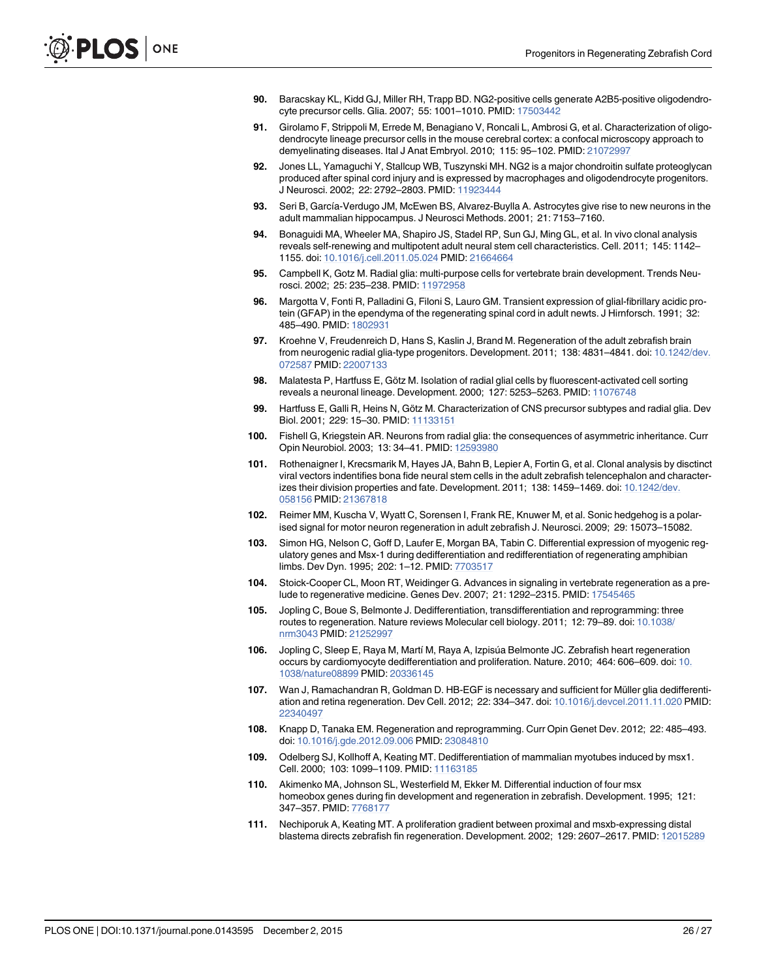- 90. Baracskay KL, Kidd GJ, Miller RH, Trapp BD. NG2-positive cells generate A2B5-positive oligodendrocyte precursor cells. Glia. 2007; 55: 1001–1010. PMID: 17503442
- 91. Girolamo F, Strippoli M, Errede M, Benagiano V, Roncali L, Ambrosi G, et al. Characterization of oligodendrocyte lineage precursor cells in the mouse cerebral cortex: a confocal microscopy approach to demyelinating diseases. Ital J Anat Embryol. 2010; 115: 95–102. PMID: 21072997
- 92. Jones LL, Yamaguchi Y, Stallcup WB, Tuszynski MH. NG2 is a major chondroitin sulfate proteoglycan produced after spinal cord injury and is expressed by macrophages and oligodendrocyte progenitors. J Neurosci. 2002; 22: 2792–2803. PMID: 11923444
- 93. Seri B, García-Verdugo JM, McEwen BS, Alvarez-Buylla A. Astrocytes give rise to new neurons in the adult mammalian hippocampus. J Neurosci Methods. 2001; 21: 7153–7160.
- 94. Bonaguidi MA, Wheeler MA, Shapiro JS, Stadel RP, Sun GJ, Ming GL, et al. In vivo clonal analysis reveals self-renewing and multipotent adult neural stem cell characteristics. Cell. 2011; 145: 1142– 1155. doi: 10.1016/j.cell.2011.05.024 PMID: 21664664
- 95. Campbell K, Gotz M. Radial glia: multi-purpose cells for vertebrate brain development. Trends Neurosci. 2002; 25: 235-238. PMID: 11972958
- 96. Margotta V, Fonti R, Palladini G, Filoni S, Lauro GM. Transient expression of glial-fibrillary acidic protein (GFAP) in the ependyma of the regenerating spinal cord in adult newts. J Hirnforsch. 1991; 32: 485–490. PMID: 1802931
- 97. Kroehne V, Freudenreich D, Hans S, Kaslin J, Brand M. Regeneration of the adult zebrafish brain from neurogenic radial glia-type progenitors. Development. 2011; 138: 4831-4841. doi: 10.1242/dev. 072587 PMID: 22007133
- 98. Malatesta P, Hartfuss E, Götz M. Isolation of radial glial cells by fluorescent-activated cell sorting reveals a neuronal lineage. Development. 2000; 127: 5253–5263. PMID: 11076748
- 99. Hartfuss E, Galli R, Heins N, Götz M. Characterization of CNS precursor subtypes and radial glia. Dev Biol. 2001; 229: 15–30. PMID: 11133151
- 100. Fishell G, Kriegstein AR. Neurons from radial glia: the consequences of asymmetric inheritance. Curr Opin Neurobiol. 2003; 13: 34–41. PMID: 12593980
- 101. Rothenaigner I, Krecsmarik M, Hayes JA, Bahn B, Lepier A, Fortin G, et al. Clonal analysis by disctinct viral vectors indentifies bona fide neural stem cells in the adult zebrafish telencephalon and characterizes their division properties and fate. Development. 2011; 138: 1459-1469. doi: 10.1242/dev. 058156 PMID: 21367818
- 102. Reimer MM, Kuscha V, Wyatt C, Sorensen I, Frank RE, Knuwer M, et al. Sonic hedgehog is a polarised signal for motor neuron regeneration in adult zebrafish J. Neurosci. 2009; 29: 15073–15082.
- 103. Simon HG, Nelson C, Goff D, Laufer E, Morgan BA, Tabin C. Differential expression of myogenic regulatory genes and Msx-1 during dedifferentiation and redifferentiation of regenerating amphibian limbs. Dev Dyn. 1995; 202: 1–12. PMID: 7703517
- 104. Stoick-Cooper CL, Moon RT, Weidinger G. Advances in signaling in vertebrate regeneration as a prelude to regenerative medicine. Genes Dev. 2007; 21: 1292–2315. PMID: 17545465
- 105. Jopling C, Boue S, Belmonte J. Dedifferentiation, transdifferentiation and reprogramming: three routes to regeneration. Nature reviews Molecular cell biology. 2011; 12: 79–89. doi: 10.1038/ nrm3043 PMID: 21252997
- 106. Jopling C, Sleep E, Raya M, Martí M, Raya A, Izpisúa Belmonte JC. Zebrafish heart regeneration occurs by cardiomyocyte dedifferentiation and proliferation. Nature. 2010; 464: 606–609. doi: 10. 1038/nature08899 PMID: 20336145
- 107. Wan J, Ramachandran R, Goldman D. HB-EGF is necessary and sufficient for Müller glia dedifferentiation and retina regeneration. Dev Cell. 2012; 22: 334–347. doi: 10.1016/j.devcel.2011.11.020 PMID: 22340497
- 108. Knapp D, Tanaka EM. Regeneration and reprogramming. Curr Opin Genet Dev. 2012; 22: 485–493. doi: 10.1016/j.gde.2012.09.006 PMID: 23084810
- 109. Odelberg SJ, Kollhoff A, Keating MT. Dedifferentiation of mammalian myotubes induced by msx1. Cell. 2000; 103: 1099–1109. PMID: 11163185
- 110. Akimenko MA, Johnson SL, Westerfield M, Ekker M. Differential induction of four msx homeobox genes during fin development and regeneration in zebrafish. Development. 1995; 121: 347–357. PMID: 7768177
- 111. Nechiporuk A, Keating MT. A proliferation gradient between proximal and msxb-expressing distal blastema directs zebrafish fin regeneration. Development. 2002; 129: 2607–2617. PMID: 12015289